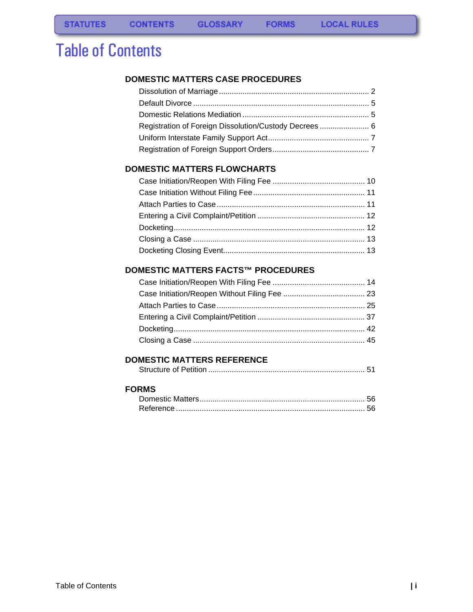# Table of Content[s](#page-14-0)

### **[DOMESTIC MATTERS CASE PROCEDURES](#page-1-0)**

| Registration of Foreign Dissolution/Custody Decrees 6 |  |
|-------------------------------------------------------|--|
|                                                       |  |
|                                                       |  |
|                                                       |  |

### **[DOMESTIC MATTERS FLOWCHARTS](#page-10-0)**

### **[DOMESTIC MATTERS FACTS™ PROCEDURES](#page-14-0)**

### **[DOMESTIC MATTERS REFERENCE](#page-51-0)**

|--|

### **[FORMS](#page-56-0)**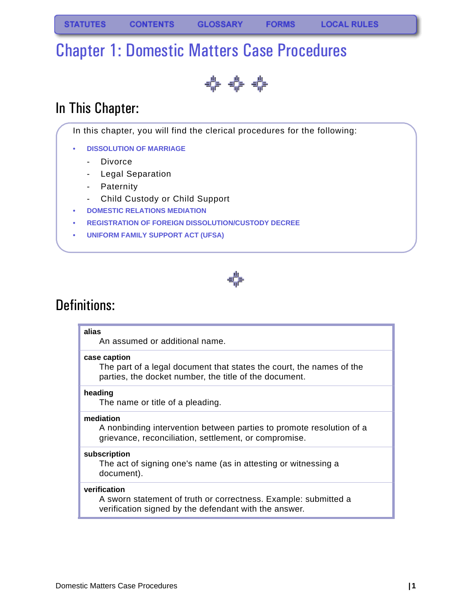# <span id="page-1-0"></span>Chapter 1: Domestic Matters Case Procedures

404

### In This Chapter:

In this chapter, you will find the clerical procedures for the following:

- **DISSOLUTION OF MARRIAGE**
	- **Divorce**
	- Legal Separation
	- Paternity
	- Child Custody or Child Support
- **• [DOMESTIC RELATIONS MEDIATION](#page-5-1)**
- **[REGISTRATION OF FOREIGN DISSOLUTION/CUSTODY DECREE](#page-6-0)**
- **• [UNIFORM FAMILY SUPPORT ACT \(UFSA\)](#page-7-0)**



### Definitions:

#### **alias**

An assumed or additional name.

#### **case caption**

The part of a legal document that states the court, the names of the parties, the docket number, the title of the document.

#### **heading**

The name or title of a pleading.

#### **mediation**

A nonbinding intervention between parties to promote resolution of a grievance, reconciliation, settlement, or compromise.

#### **subscription**

The act of signing one's name (as in attesting or witnessing a document).

#### **verification**

A sworn statement of truth or correctness. Example: submitted a verification signed by the defendant with the answer.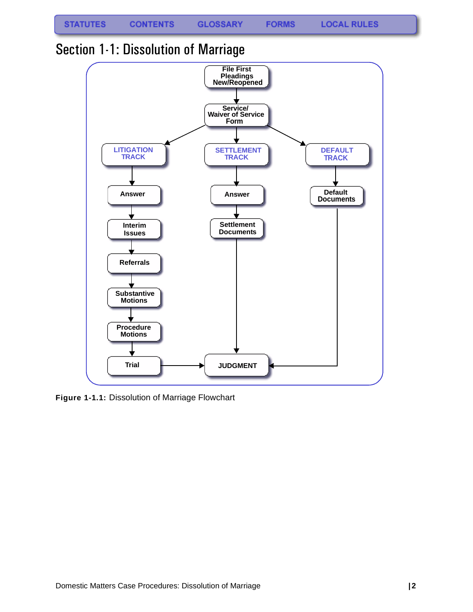<span id="page-2-0"></span>



**Figure 1-1.1:** Dissolution of Marriage Flowchart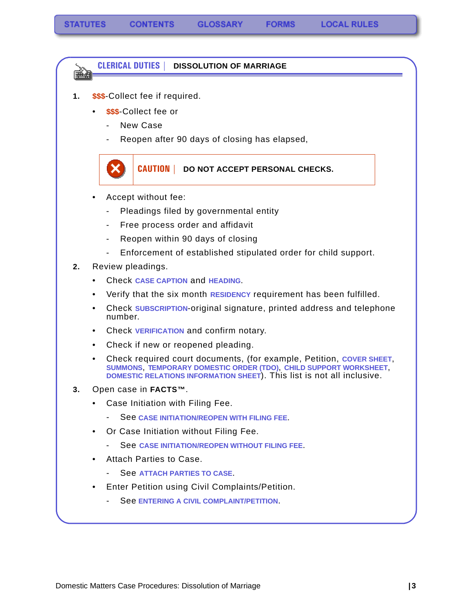喫煙

### **CLERICAL DUTIES | DISSOLUTION OF MARRIAGE**

- **1. \$\$\$**-Collect fee if required.
	- **\$\$\$-Collect fee or** 
		- New Case
		- Reopen after 90 days of closing has elapsed,



- Accept without fee:
	- Pleadings filed by governmental entity
	- Free process order and affidavit
	- Reopen within 90 days of closing
	- Enforcement of established stipulated order for child support.
- **2.** Review pleadings.
	- Check **[CASE CAPTION](#page-51-2)** and **[HEADING](#page-51-3)**.
	- Verify that the six month **[RESIDENCY](#page-51-4)** requirement has been fulfilled.
	- Check **[SUBSCRIPTION](#page-52-0)**-original signature, printed address and telephone number.
	- Check **[VERIFICATION](#page-52-1)** and confirm notary.
	- Check if new or reopened pleading.
	- Check required court documents, (for example, Petition, **COVER SHEET**, **SUMMONS**, **TEMPORARY DOMESTIC ORDER (TDO)**, **CHILD SUPPORT WORKSHEET**, **DOMESTIC RELATIONS INFORMATION SHEET**). This list is not all inclusive.
- **3.** Open case in **FACTS™**.
	- Case Initiation with Filing Fee.
		- See **[CASE INITIATION/REOPEN WITH FILING FEE](#page-14-2)**.
	- Or Case Initiation without Filing Fee.
		- See **[CASE INITIATION/REOPEN WITHOUT FILING FEE](#page-23-1)**.
	- Attach Parties to Case.
		- See **[ATTACH PARTIES TO CASE](#page-25-1)**.
	- Enter Petition using Civil Complaints/Petition.
		- See **[ENTERING A CIVIL COMPLAINT/PETITION](#page-37-1)**.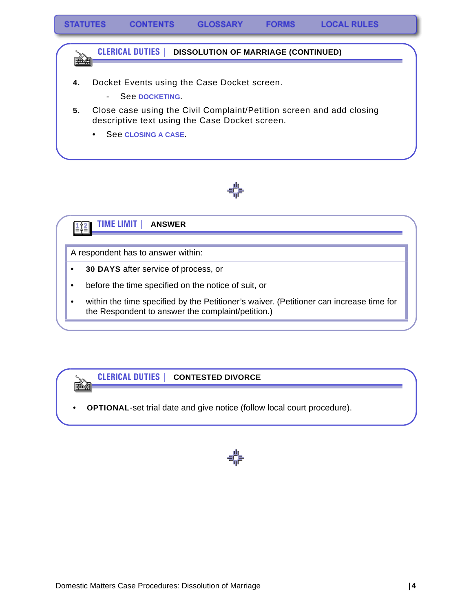





A respondent has to answer within:

- **30 DAYS** after service of process, or
- before the time specified on the notice of suit, or
- within the time specified by the Petitioner's waiver. (Petitioner can increase time for the Respondent to answer the complaint/petition.)

#### **CLERICAL DUTIES | CONTESTED DIVORCE** éà

**OPTIONAL-set trial date and give notice (follow local court procedure).** 

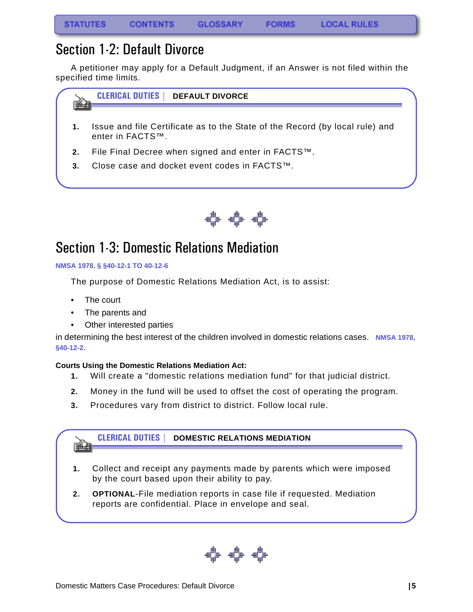### <span id="page-5-0"></span>Section 1-2: Default Divorce

A petitioner may apply for a Default Judgment, if an Answer is not filed within the specified time limits.

**CLERICAL DUTIES | DEFAULT DIVORCE** 喓

- **1.** Issue and file Certificate as to the State of the Record (by local rule) and enter in FACTS™.
- **2.** File Final Decree when signed and enter in FACTS™.
- **3.** Close case and docket event codes in FACTS™.



### <span id="page-5-1"></span>Section 1-3: Domestic Relations Mediation

#### **NMSA 1978, § §40-12-1 TO 40-12-6**

The purpose of Domestic Relations Mediation Act, is to assist:

- The court
- The parents and
- Other interested parties

in determining the best interest of the children involved in domestic relations cases. NMSA 1978, **§40-12-2**.

### **Courts Using the Domestic Relations Mediation Act:**

- **1.** Will create a "domestic relations mediation fund" for that judicial district.
- **2.** Money in the fund will be used to offset the cost of operating the program.
- **3.** Procedures vary from district to district. Follow local rule.



**2. OPTIONAL**-File mediation reports in case file if requested. Mediation reports are confidential. Place in envelope and seal.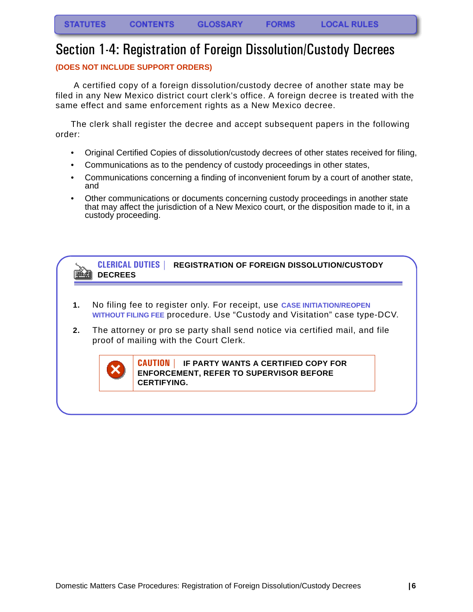### <span id="page-6-0"></span>Section 1-4: Registration of Foreign Dissolution/Custody Decrees

### **(DOES NOT INCLUDE SUPPORT ORDERS)**

 A certified copy of a foreign dissolution/custody decree of another state may be filed in any New Mexico district court clerk's office. A foreign decree is treated with the same effect and same enforcement rights as a New Mexico decree.

The clerk shall register the decree and accept subsequent papers in the following order:

- Original Certified Copies of dissolution/custody decrees of other states received for filing,
- Communications as to the pendency of custody proceedings in other states,
- Communications concerning a finding of inconvenient forum by a court of another state, and
- Other communications or documents concerning custody proceedings in another state that may affect the jurisdiction of a New Mexico court, or the disposition made to it, in a custody proceeding.



- **1.** No filing fee to register only. For receipt, use **[CASE INITIATION/REOPEN](#page-23-1)  [WITHOUT FILING FEE](#page-23-1)** procedure. Use "Custody and Visitation" case type-DCV.
- **2.** The attorney or pro se party shall send notice via certified mail, and file proof of mailing with the Court Clerk.



**CAUTION | IF PARTY WANTS A CERTIFIED COPY FOR ENFORCEMENT, REFER TO SUPERVISOR BEFORE CERTIFYING.**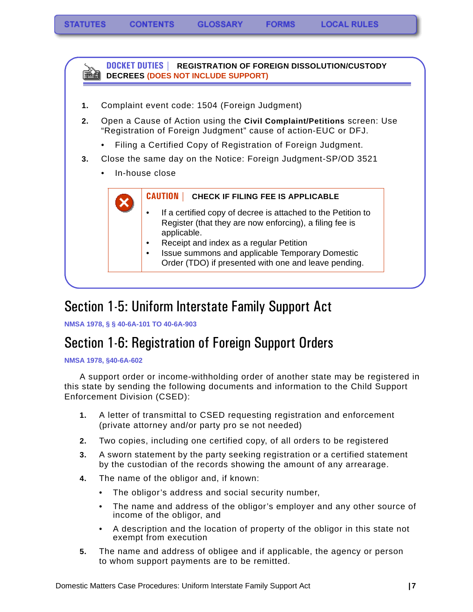

### <span id="page-7-0"></span>Section 1-5: Uniform Interstate Family Support Act

**NMSA 1978, § § 40-6A-101 TO 40-6A-903**

### <span id="page-7-1"></span>Section 1-6: Registration of Foreign Support Orders

#### **NMSA 1978, §40-6A-602**

A support order or income-withholding order of another state may be registered in this state by sending the following documents and information to the Child Support Enforcement Division (CSED):

- **1.** A letter of transmittal to CSED requesting registration and enforcement (private attorney and/or party pro se not needed)
- **2.** Two copies, including one certified copy, of all orders to be registered
- **3.** A sworn statement by the party seeking registration or a certified statement by the custodian of the records showing the amount of any arrearage.
- **4.** The name of the obligor and, if known:
	- The obligor's address and social security number,
	- The name and address of the obligor's employer and any other source of income of the obligor, and
	- A description and the location of property of the obligor in this state not exempt from execution
- **5.** The name and address of obligee and if applicable, the agency or person to whom support payments are to be remitted.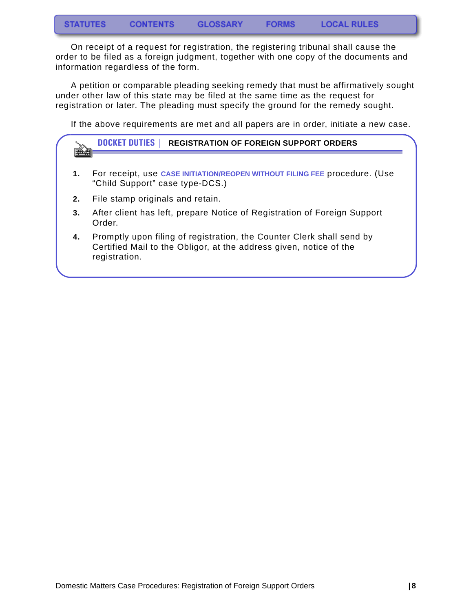On receipt of a request for registration, the registering tribunal shall cause the order to be filed as a foreign judgment, together with one copy of the documents and information regardless of the form.

A petition or comparable pleading seeking remedy that must be affirmatively sought under other law of this state may be filed at the same time as the request for registration or later. The pleading must specify the ground for the remedy sought.

If the above requirements are met and all papers are in order, initiate a new case.

### **DOCKET DUTIES | REGISTRATION OF FOREIGN SUPPORT ORDERS** Linguag **1.** For receipt, use **[CASE INITIATION/REOPEN WITHOUT FILING FEE](#page-23-1)** procedure. (Use "Child Support" case type-DCS.) **2.** File stamp originals and retain. **3.** After client has left, prepare Notice of Registration of Foreign Support Order. **4.** Promptly upon filing of registration, the Counter Clerk shall send by Certified Mail to the Obligor, at the address given, notice of the registration.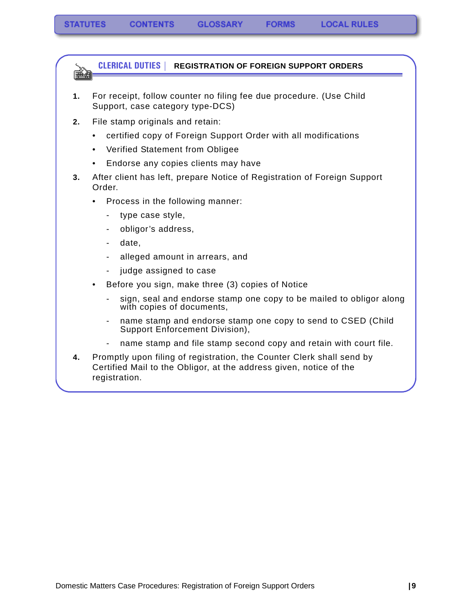**CLERICAL DUTIES | REGISTRATION OF FOREIGN SUPPORT ORDERS**

- **1.** For receipt, follow counter no filing fee due procedure. (Use Child Support, case category type-DCS)
- **2.** File stamp originals and retain:

ê.

- certified copy of Foreign Support Order with all modifications
- Verified Statement from Obligee
- Endorse any copies clients may have
- **3.** After client has left, prepare Notice of Registration of Foreign Support Order.
	- Process in the following manner:
		- type case style,
		- obligor's address,
		- date.
		- alleged amount in arrears, and
		- judge assigned to case
	- Before you sign, make three (3) copies of Notice
		- sign, seal and endorse stamp one copy to be mailed to obligor along with copies of documents,
		- name stamp and endorse stamp one copy to send to CSED (Child Support Enforcement Division),
		- name stamp and file stamp second copy and retain with court file.
- **4.** Promptly upon filing of registration, the Counter Clerk shall send by Certified Mail to the Obligor, at the address given, notice of the registration.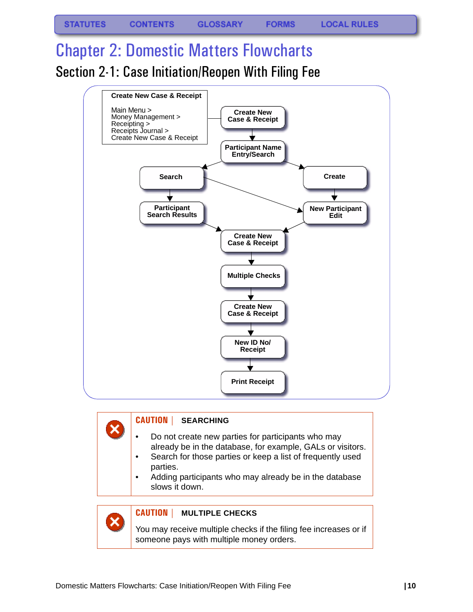# <span id="page-10-1"></span><span id="page-10-0"></span>Chapter 2: Domestic Matters Flowcharts Section 2-1: Case Initiation/Reopen With Filing Fee



### **CAUTION | SEARCHING**

- Do not create new parties for participants who may already be in the database, for example, GALs or visitors.
- Search for those parties or keep a list of frequently used parties.
- Adding participants who may already be in the database slows it down.



#### **CAUTION | MULTIPLE CHECKS**

You may receive multiple checks if the filing fee increases or if someone pays with multiple money orders.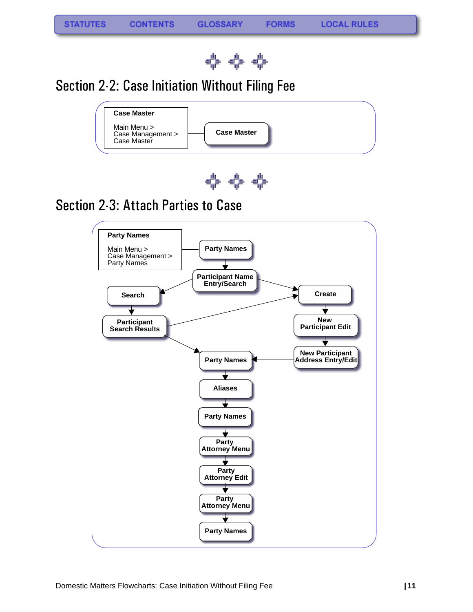

## <span id="page-11-0"></span>Section 2-2: Case Initiation Without Filing Fee





### <span id="page-11-1"></span>Section 2-3: Attach Parties to Case

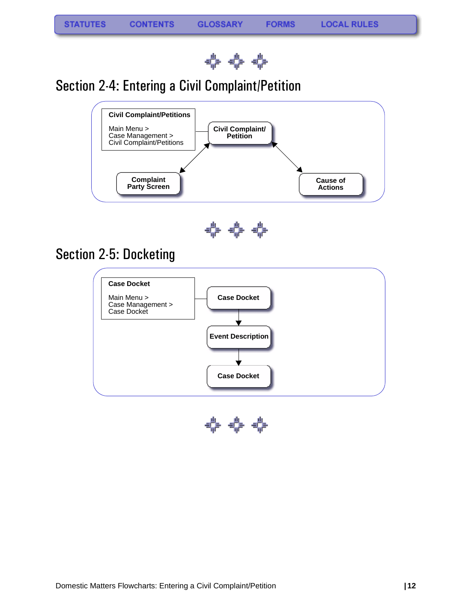

## <span id="page-12-0"></span>Section 2-4: Entering a Civil Complaint/Petition



$$
\Leftrightarrow \Leftrightarrow \Leftrightarrow
$$

### <span id="page-12-1"></span>Section 2-5: Docketing



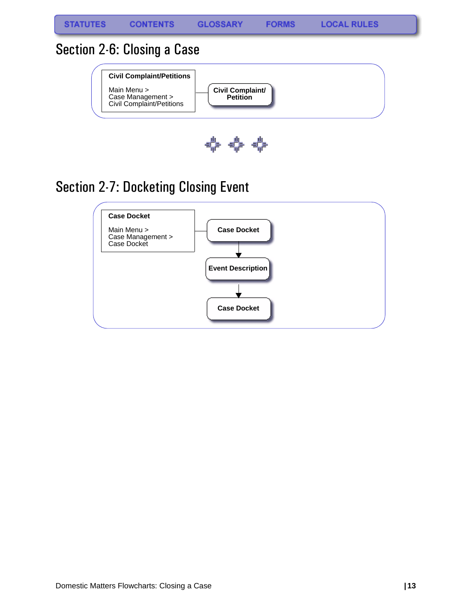**FORMS** 

### <span id="page-13-0"></span>Section 2-6: Closing a Case





# <span id="page-13-1"></span>Section 2-7: Docketing Closing Event

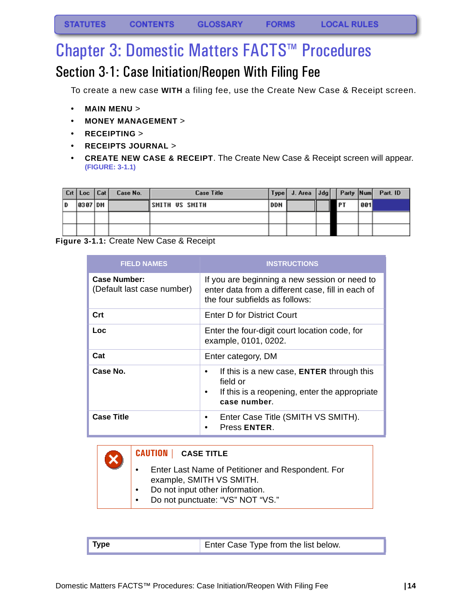# <span id="page-14-0"></span>Chapter 3: Domestic Matters FACTS™ Procedures

### <span id="page-14-1"></span>Section 3-1: Case Initiation/Reopen With Filing Fee

<span id="page-14-2"></span>To create a new case **WITH** a filing fee, use the Create New Case & Receipt screen.

- **MAIN MENU** >
- **MONEY MANAGEMENT** >
- **RECEIPTING** >
- **RECEIPTS JOURNAL** >
- **CREATE NEW CASE & RECEIPT**. The Create New Case & Receipt screen will appear. **[\(FIGURE: 3-1.1\)](#page-14-3)**

|   | Crt Loc Cat | Case No. | <b>Case Title</b>     |     | Type J. Area Jdg |  | Party Num |     | Part. ID |
|---|-------------|----------|-----------------------|-----|------------------|--|-----------|-----|----------|
| D | 0307   DM   |          | <b>SMITH US SMITH</b> | DDN |                  |  | PT        | 881 |          |
|   |             |          |                       |     |                  |  |           |     |          |
|   |             |          |                       |     |                  |  |           |     |          |

<span id="page-14-3"></span>**Figure 3-1.1:** Create New Case & Receipt

| <b>FIELD NAMES</b>                                | <b>INSTRUCTIONS</b>                                                                                                                  |
|---------------------------------------------------|--------------------------------------------------------------------------------------------------------------------------------------|
| <b>Case Number:</b><br>(Default last case number) | If you are beginning a new session or need to<br>enter data from a different case, fill in each of<br>the four subfields as follows: |
| Crt                                               | Enter D for District Court                                                                                                           |
| Loc                                               | Enter the four-digit court location code, for<br>example, 0101, 0202.                                                                |
| Cat                                               | Enter category, DM                                                                                                                   |
| Case No.                                          | If this is a new case, <b>ENTER</b> through this<br>field or<br>If this is a reopening, enter the appropriate<br>case number.        |
| <b>Case Title</b>                                 | Enter Case Title (SMITH VS SMITH).<br>Press ENTER.                                                                                   |

### **CAUTION | CASE TITLE**

- Enter Last Name of Petitioner and Respondent. For example, SMITH VS SMITH.
- Do not input other information.
- Do not punctuate: "VS" NOT "VS."

| $\blacksquare$ Type | Enter Case Type from the list below. |
|---------------------|--------------------------------------|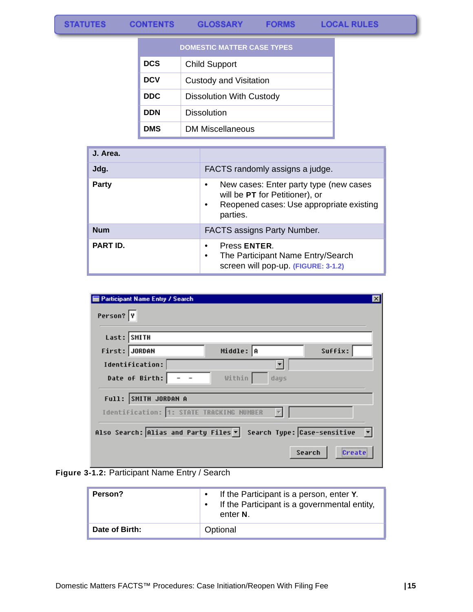**DOMESTIC MATTER CASE TYPES**

| DCS        | <b>Child Support</b>            |
|------------|---------------------------------|
| <b>DCV</b> | <b>Custody and Visitation</b>   |
| <b>DDC</b> | <b>Dissolution With Custody</b> |
| DDN        | <b>Dissolution</b>              |
| <b>DMS</b> | <b>DM Miscellaneous</b>         |

| J. Area.        |                                                                                                                                               |
|-----------------|-----------------------------------------------------------------------------------------------------------------------------------------------|
| Jdg.            | FACTS randomly assigns a judge.                                                                                                               |
| Party           | New cases: Enter party type (new cases<br>will be PT for Petitioner), or<br>Reopened cases: Use appropriate existing<br>$\bullet$<br>parties. |
| <b>Num</b>      | <b>FACTS assigns Party Number.</b>                                                                                                            |
| <b>PART ID.</b> | Press <b>ENTER</b> .<br>The Participant Name Entry/Search<br>screen will pop-up. (FIGURE: 3-1.2)                                              |

| Person? Y     | Participant Name Entry / Search                                     | $\vert x \vert$ |
|---------------|---------------------------------------------------------------------|-----------------|
| Last: SMITH   |                                                                     |                 |
| First: JORDAN | Middle: A<br>Suffix:                                                |                 |
|               | Identification:<br>Within<br>Date of Birth:<br>days                 |                 |
|               | Full: SMITH JORDAN A                                                |                 |
|               | Identification: 1: STATE TRACKING NUMBER                            |                 |
|               | Search Type: Case-sensitive<br>Also Search: Alias and Party Files v |                 |
|               | Search<br>Create                                                    |                 |



| Person?        | If the Participant is a person, enter Y.<br>If the Participant is a governmental entity,<br>enter N. |
|----------------|------------------------------------------------------------------------------------------------------|
| Date of Birth: | Optional                                                                                             |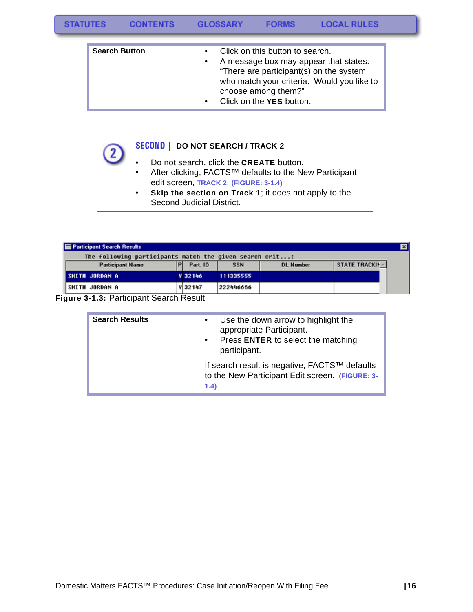| <b>Search Button</b> | $\bullet$<br>$\bullet$ | Click on this button to search.<br>A message box may appear that states:              |
|----------------------|------------------------|---------------------------------------------------------------------------------------|
|                      |                        | "There are participant(s) on the system<br>who match your criteria. Would you like to |
|                      |                        | choose among them?"                                                                   |
|                      |                        | Click on the YES button.                                                              |

### **SECOND | DO NOT SEARCH / TRACK 2**  $\overline{2}$ • Do not search, click the **CREATE** button.

- After clicking, FACTS™ defaults to the New Participant edit screen, **[TRACK 2](#page-27-0)**. **[\(FIGURE: 3-1.4\)](#page-17-0)**
- **Skip the section on Track 1**; it does not apply to the Second Judicial District.

| <b>E</b> Participant Search Results                     |  |                |            |                  |                       |  |  |
|---------------------------------------------------------|--|----------------|------------|------------------|-----------------------|--|--|
| The following participants match the given search crit: |  |                |            |                  |                       |  |  |
| <b>Participant Name</b>                                 |  | Part. ID       | <b>SSN</b> | <b>DL Number</b> | <b>STATE TRACKIN-</b> |  |  |
| <b>SMITH JORDAN A</b>                                   |  | <b>Y</b> 32146 | 111335555  |                  |                       |  |  |
| ISMITH JORDAN A                                         |  | Y 32147        | 222446666  |                  |                       |  |  |

**Figure 3-1.3:** Participant Search Result

| <b>Search Results</b> | Use the down arrow to highlight the<br>$\bullet$<br>appropriate Participant.<br>Press ENTER to select the matching<br>$\bullet$<br>participant. |
|-----------------------|-------------------------------------------------------------------------------------------------------------------------------------------------|
|                       | If search result is negative, FACTS™ defaults<br>to the New Participant Edit screen. (FIGURE: 3-<br>1.4)                                        |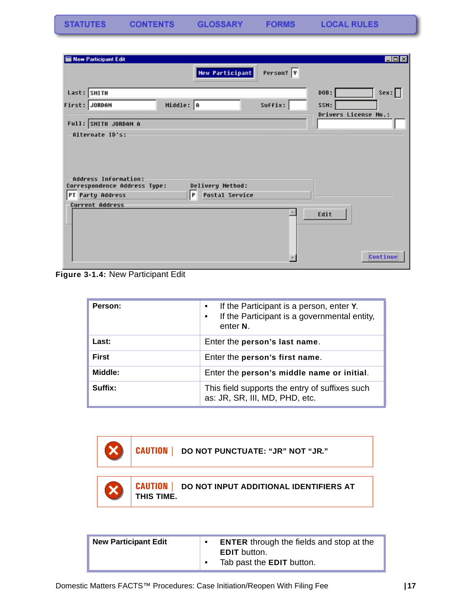**STATUTES** 

| New Participant Edit                                 |                            |           | EDX                         |
|------------------------------------------------------|----------------------------|-----------|-----------------------------|
|                                                      | <b>New Participant</b>     | Person? Y |                             |
| Last: SMITH                                          |                            |           | sex:<br>DOB:                |
| First: JORDAN                                        | Middle: A                  | Suffix:   | SSN:                        |
| Full: SMITH JORDAN A                                 |                            |           | <b>Drivers License No.:</b> |
| -Alternate ID's:                                     |                            |           |                             |
| Address Information:<br>Correspondence Address Type: | Delivery Method:           |           |                             |
| PT Party Address                                     | P<br><b>Postal Service</b> |           |                             |
| Current Address                                      |                            |           |                             |

<span id="page-17-0"></span>**Figure 3-1.4:** New Participant Edit

| Person:      | If the Participant is a person, enter Y.<br>$\bullet$<br>If the Participant is a governmental entity,<br>$\bullet$<br>enter N. |
|--------------|--------------------------------------------------------------------------------------------------------------------------------|
| Last:        | Enter the person's last name.                                                                                                  |
| <b>First</b> | Enter the person's first name.                                                                                                 |
| Middle:      | Enter the person's middle name or initial.                                                                                     |
| Suffix:      | This field supports the entry of suffixes such<br>as: JR, SR, III, MD, PHD, etc.                                               |

| CAUTION   DO NOT PUNCTUATE: "JR" NOT "JR."            |  |
|-------------------------------------------------------|--|
|                                                       |  |
| <b>CAUTION</b> DO NOT INPUT ADDITIONAL IDENTIFIERS AT |  |

| <b>New Participant Edit</b> | <b>ENTER</b> through the fields and stop at the         |
|-----------------------------|---------------------------------------------------------|
|                             | <b>EDIT</b> button.<br>Tab past the <b>EDIT</b> button. |

**THIS TIME.**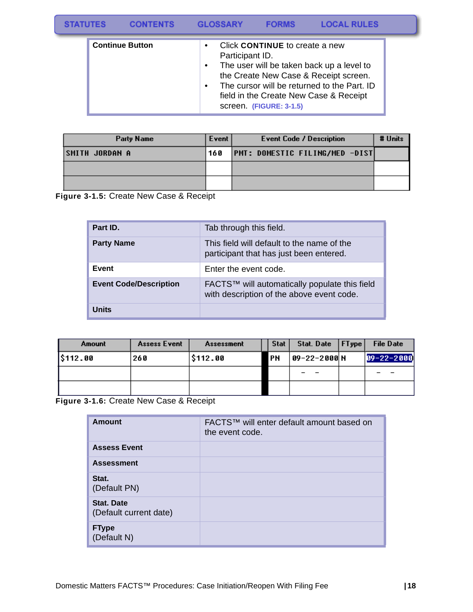| <b>STATUTES</b> |                        | <b>CONTENTS</b> |                     | <b>GLOSSARY</b> | <b>FORMS</b>                                              | <b>LOCAL RULES</b>                                                                                                                                                          |  |
|-----------------|------------------------|-----------------|---------------------|-----------------|-----------------------------------------------------------|-----------------------------------------------------------------------------------------------------------------------------------------------------------------------------|--|
|                 | <b>Continue Button</b> |                 | ٠<br>$\bullet$<br>٠ | Participant ID. | Click CONTINUE to create a new<br>screen. (FIGURE: 3-1.5) | The user will be taken back up a level to<br>the Create New Case & Receipt screen.<br>The cursor will be returned to the Part. ID<br>field in the Create New Case & Receipt |  |

| Party Name             | Event | <b>Event Code / Description</b>       | # Units |
|------------------------|-------|---------------------------------------|---------|
| <b> SMITH JORDAN A</b> | 160   | <b>PMT: DOMESTIC FILING/MED -DIST</b> |         |
|                        |       |                                       |         |
|                        |       |                                       |         |

<span id="page-18-0"></span>**Figure 3-1.5:** Create New Case & Receipt

| Part ID.                      | Tab through this field.                                                                    |
|-------------------------------|--------------------------------------------------------------------------------------------|
| <b>Party Name</b>             | This field will default to the name of the<br>participant that has just been entered.      |
| Event                         | Enter the event code.                                                                      |
| <b>Event Code/Description</b> | FACTS™ will automatically populate this field<br>with description of the above event code. |
| Units                         |                                                                                            |

| Amount   | <b>Assess Event</b> | <b>Assessment</b> | Stat      | Stat. Date $ $ FT ype | <b>File Date</b> |
|----------|---------------------|-------------------|-----------|-----------------------|------------------|
| \$112.00 | 260                 | \$112.00          | <b>PN</b> | $09 - 22 - 2000$ N    | $99 - 22 - 2000$ |
|          |                     |                   |           |                       |                  |
|          |                     |                   |           |                       |                  |

**Figure 3-1.6:** Create New Case & Receipt

| Amount                                      | FACTS™ will enter default amount based on<br>the event code. |
|---------------------------------------------|--------------------------------------------------------------|
| <b>Assess Event</b>                         |                                                              |
| <b>Assessment</b>                           |                                                              |
| Stat.<br>(Default PN)                       |                                                              |
| <b>Stat. Date</b><br>(Default current date) |                                                              |
| <b>FType</b><br>(Default N)                 |                                                              |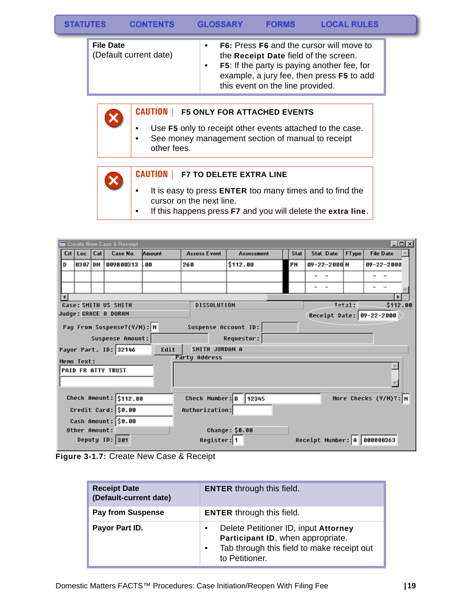| <b>STATUTES</b> |                  | <b>CONTENTS</b>        |                        | <b>GLOSSARY</b> | <b>FORMS</b>                                                              | <b>LOCAL RULES</b>                                                                                                                   |  |
|-----------------|------------------|------------------------|------------------------|-----------------|---------------------------------------------------------------------------|--------------------------------------------------------------------------------------------------------------------------------------|--|
|                 | <b>File Date</b> | (Default current date) | $\bullet$<br>$\bullet$ |                 | the Receipt Date field of the screen.<br>this event on the line provided. | F6: Press F6 and the cursor will move to<br>F5: If the party is paying another fee, for<br>example, a jury fee, then press F5 to add |  |

**CAUTION | F5 ONLY FOR ATTACHED EVENTS**

- Use **F5** only to receipt other events attached to the case.
- See money management section of manual to receipt other fees.



### **CAUTION | F7 TO DELETE EXTRA LINE**

- It is easy to press **ENTER** too many times and to find the cursor on the next line.
- If this happens press **F7** and you will delete the **extra line**.

|                |               |     | Create New Case & Receipt  |        |                        |                   |      |                             |        |                       | $-10x$   |
|----------------|---------------|-----|----------------------------|--------|------------------------|-------------------|------|-----------------------------|--------|-----------------------|----------|
|                | Crt   Loc     | Cat | Case No.                   | Amount | <b>Assess Event</b>    | <b>Assessment</b> | Stat | Stat. Date                  | FType  | <b>File Date</b>      |          |
| D              | 8387 DM       |     | 889888313                  | ពព     | 260                    | \$112.00          | PN   | 89-22-2888 N                |        | $09 - 22 - 2000$      |          |
|                |               |     |                            |        |                        |                   |      | -                           |        |                       |          |
|                |               |     |                            |        |                        |                   |      |                             |        |                       |          |
| $\blacksquare$ |               |     |                            |        |                        |                   |      |                             |        | $\blacktriangleright$ |          |
|                |               |     | Case: SMITH US SMITH       |        | <b>DISSOLUTION</b>     |                   |      |                             | Tetal: |                       | \$112.00 |
|                |               |     | Judge: GRACE B DURAN       |        |                        |                   |      | Receipt Date: 09-22-2000    |        |                       |          |
|                |               |     | Pay From Suspense?(Y/N): N |        | Suspense Account ID:   |                   |      |                             |        |                       |          |
|                |               |     | Suspense Amount:           |        |                        | Requestor:        |      |                             |        |                       |          |
|                |               |     | Payor Part. ID: 32146      | Edit   | SMITH JORDAN A         |                   |      |                             |        |                       |          |
|                | Memo Text:    |     |                            |        | Party Address          |                   |      |                             |        |                       |          |
|                |               |     | <b>PAID FR ATTY TRUST</b>  |        |                        |                   |      |                             |        |                       |          |
|                |               |     |                            |        |                        |                   |      |                             |        |                       |          |
|                |               |     |                            |        |                        |                   |      |                             |        |                       |          |
|                |               |     | Check Amount: \$112.00     |        | <b>Check Number: B</b> | 12345             |      |                             |        | More Checks (Y/M)?: N |          |
|                |               |     | Credit Card: \$0.00        |        | Authorization:         |                   |      |                             |        |                       |          |
|                |               |     | Cash Amount: \$0.00        |        |                        |                   |      |                             |        |                       |          |
|                | Other Amount: |     |                            |        |                        | Change: \$0.00    |      |                             |        |                       |          |
|                |               |     | Deputy ID: 301             |        | Register: 1            |                   |      | Receipt Number: A 000000363 |        |                       |          |



| <b>Receipt Date</b><br>(Default-current date) | <b>ENTER</b> through this field.                                                                                                                       |
|-----------------------------------------------|--------------------------------------------------------------------------------------------------------------------------------------------------------|
| <b>Pay from Suspense</b>                      | <b>ENTER</b> through this field.                                                                                                                       |
| Payor Part ID.                                | Delete Petitioner ID, input Attorney<br>$\bullet$<br>Participant ID, when appropriate.<br>Tab through this field to make receipt out<br>to Petitioner. |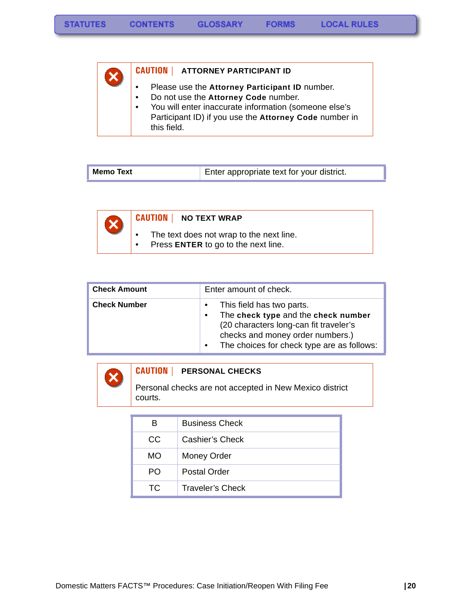**FORMS** 

| <b>CAUTION   ATTORNEY PARTICIPANT ID</b>                                                                                     |
|------------------------------------------------------------------------------------------------------------------------------|
| Please use the Attorney Participant ID number.<br>Do not use the Attorney Code number.<br>$\bullet$                          |
| You will enter inaccurate information (someone else's<br>$\bullet$<br>Participant ID) if you use the Attorney Code number in |
| this field.                                                                                                                  |

| Memo Text | Enter appropriate text for your district. |
|-----------|-------------------------------------------|
|-----------|-------------------------------------------|



### **CAUTION | NO TEXT WRAP**

- The text does not wrap to the next line.
- Press **ENTER** to go to the next line.

| <b>Check Amount</b> | Enter amount of check.                                                                                                                                                                       |
|---------------------|----------------------------------------------------------------------------------------------------------------------------------------------------------------------------------------------|
| <b>Check Number</b> | This field has two parts.<br>The check type and the check number<br>(20 characters long-can fit traveler's<br>checks and money order numbers.)<br>The choices for check type are as follows: |



| в   | <b>Business Check</b> |
|-----|-----------------------|
| CC  | Cashier's Check       |
| MO  | Money Order           |
| PO  | <b>Postal Order</b>   |
| TC. | Traveler's Check      |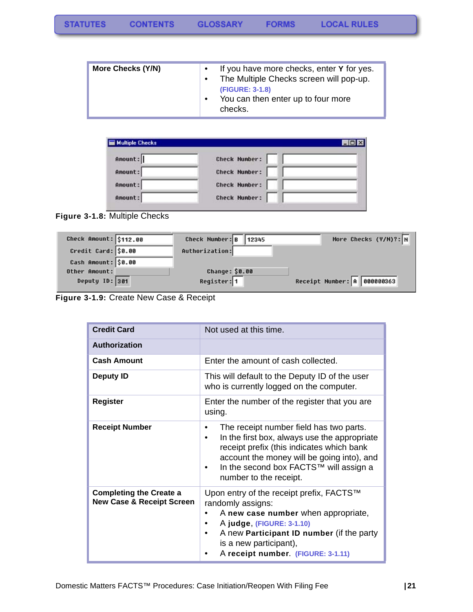| More Checks (Y/N) | checks. | If you have more checks, enter Y for yes.<br>The Multiple Checks screen will pop-up.<br>(FIGURE: 3-1.8)<br>You can then enter up to four more |
|-------------------|---------|-----------------------------------------------------------------------------------------------------------------------------------------------|

| <b>Multiple Checks</b> |                      |  |
|------------------------|----------------------|--|
| Anount:                | <b>Check Number:</b> |  |
| Anount:                | <b>Check Number:</b> |  |
| Amount:                | <b>Check Number:</b> |  |
| Anount:                | <b>Check Number:</b> |  |

<span id="page-21-0"></span>**Figure 3-1.8:** Multiple Checks

| Check Amount: \$112.00 | Check Number: B 12345 | More Checks (Y/M)?: N       |
|------------------------|-----------------------|-----------------------------|
| Credit Card: \$0.00    | Authorization:        |                             |
| Cash Amount: \$0.00    |                       |                             |
| Other Amount:          | Change: \$0.00        |                             |
| Deputy ID: 301         | Register: 1           | Receipt Number: A 000000363 |

**Figure 3-1.9:** Create New Case & Receipt

| <b>Credit Card</b>                                                     | Not used at this time.                                                                                                                                                                                                                                           |
|------------------------------------------------------------------------|------------------------------------------------------------------------------------------------------------------------------------------------------------------------------------------------------------------------------------------------------------------|
| <b>Authorization</b>                                                   |                                                                                                                                                                                                                                                                  |
| <b>Cash Amount</b>                                                     | Enter the amount of cash collected.                                                                                                                                                                                                                              |
| Deputy ID                                                              | This will default to the Deputy ID of the user<br>who is currently logged on the computer.                                                                                                                                                                       |
| <b>Register</b>                                                        | Enter the number of the register that you are<br>using.                                                                                                                                                                                                          |
| <b>Receipt Number</b>                                                  | The receipt number field has two parts.<br>٠<br>In the first box, always use the appropriate<br>٠<br>receipt prefix (this indicates which bank<br>account the money will be going into), and<br>In the second box FACTS™ will assign a<br>number to the receipt. |
| <b>Completing the Create a</b><br><b>New Case &amp; Receipt Screen</b> | Upon entry of the receipt prefix, FACTS™<br>randomly assigns:<br>A new case number when appropriate,<br>A judge, (FIGURE: 3-1.10)<br>٠<br>A new <b>Participant ID number</b> (if the party<br>is a new participant),<br>A receipt number. (FIGURE: 3-1.11)       |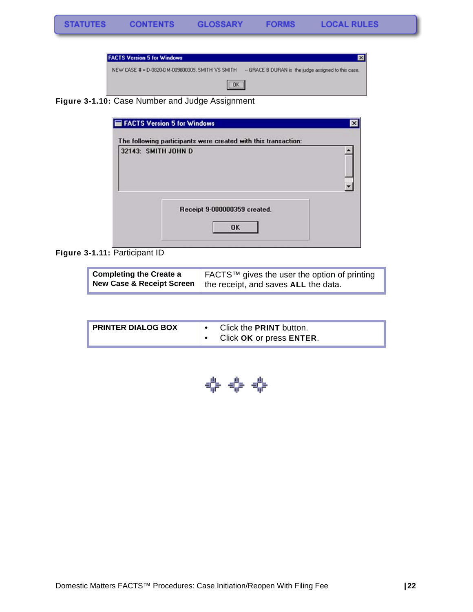

<span id="page-22-0"></span>**Figure 3-1.10:** Case Number and Judge Assignment

| The following participants were created with this transaction:<br>32143: SMITH JOHN D |  |
|---------------------------------------------------------------------------------------|--|
|                                                                                       |  |
|                                                                                       |  |
| Receipt 9-000000359 created.                                                          |  |

### <span id="page-22-1"></span>**Figure 3-1.11:** Participant ID

| <b>Completing the Create a</b> | FACTS™ gives the user the option of printing |
|--------------------------------|----------------------------------------------|
| New Case & Receipt Screen      | the receipt, and saves ALL the data.         |

| <b>PRINTER DIALOG BOX</b> |  | Click the PRINT button.<br>Click OK or press ENTER. |
|---------------------------|--|-----------------------------------------------------|
|---------------------------|--|-----------------------------------------------------|

**+ + +**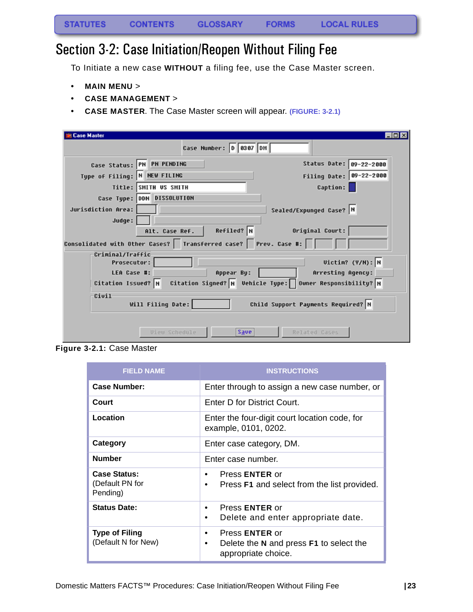### <span id="page-23-0"></span>Section 3-2: Case Initiation/Reopen Without Filing Fee

<span id="page-23-1"></span>To Initiate a new case **WITHOUT** a filing fee, use the Case Master screen.

- **MAIN MENU** >
- **CASE MANAGEMENT** >
- **CASE MASTER**. The Case Master screen will appear. **[\(FIGURE: 3-2.1\)](#page-23-2)**

| <b>Case Master</b>                     |                                                                    | col×                                                     |
|----------------------------------------|--------------------------------------------------------------------|----------------------------------------------------------|
|                                        | Case Number: 0 0307 DM                                             |                                                          |
|                                        | Case Status: PN PN PENDING                                         | Status Date: 09-22-2000                                  |
| Type of Filing: N NEW FILING           |                                                                    | Filing Date: 09-22-2000                                  |
|                                        | Title: SMITH US SMITH                                              | Caption:                                                 |
|                                        | Case Type: DDN DISSOLUTION                                         |                                                          |
| Jurisdiction Area:                     |                                                                    | Sealed/Expunged Case? N                                  |
| Judge:                                 |                                                                    |                                                          |
|                                        | $Refiled?$ N<br>Alt. Case Ref.                                     | Original Court:                                          |
|                                        | Consolidated with Other Cases?   Transferred case?   Prev. Case #: |                                                          |
| Criminal/Traffic<br><b>Prosecutor:</b> |                                                                    | Uictim? (Y/H): N                                         |
| LEA Case #:                            | Appear By:                                                         | Arresting Agency:                                        |
| Citation Issued? N                     |                                                                    | Citation Signed? N Vehicle Type: 0wner Responsibility? N |
| Civil                                  | Will Filing Date:                                                  | Child Support Payments Required? N                       |
|                                        | Save<br><b><i>Uieu Schedule</i></b>                                | Related Cases                                            |

<span id="page-23-2"></span>**Figure 3-2.1:** Case Master

| <b>FIELD NAME</b>                                  | <b>INSTRUCTIONS</b>                                                                               |  |  |
|----------------------------------------------------|---------------------------------------------------------------------------------------------------|--|--|
| <b>Case Number:</b>                                | Enter through to assign a new case number, or                                                     |  |  |
| Court                                              | Enter D for District Court.                                                                       |  |  |
| Location                                           | Enter the four-digit court location code, for<br>example, 0101, 0202.                             |  |  |
| Category                                           | Enter case category, DM.                                                                          |  |  |
| <b>Number</b>                                      | Enter case number.                                                                                |  |  |
| <b>Case Status:</b><br>(Default PN for<br>Pending) | Press <b>ENTER</b> or<br>٠<br>Press F1 and select from the list provided.<br>٠                    |  |  |
| <b>Status Date:</b>                                | Press ENTER or<br>$\bullet$<br>Delete and enter appropriate date.<br>٠                            |  |  |
| <b>Type of Filing</b><br>(Default N for New)       | Press <b>ENTER</b> or<br>٠<br>Delete the N and press F1 to select the<br>٠<br>appropriate choice. |  |  |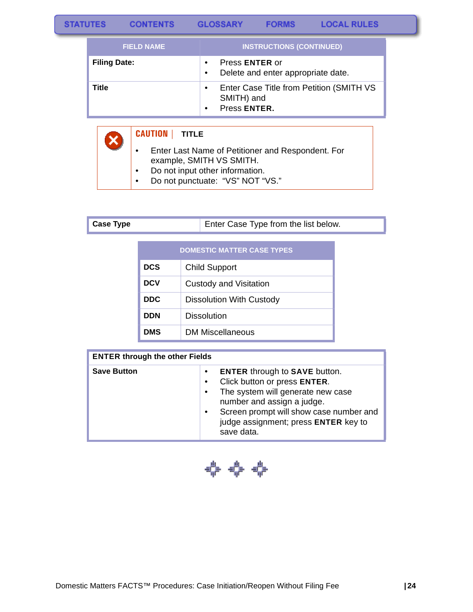$\boldsymbol{\times}$ 

#### **CONTENTS**

**GLOSSARY FORMS** 

| <b>FIELD NAME</b>   | <b>INSTRUCTIONS (CONTINUED)</b>                                                          |
|---------------------|------------------------------------------------------------------------------------------|
| <b>Filing Date:</b> | Press <b>ENTER</b> or<br>$\bullet$<br>Delete and enter appropriate date.<br>$\bullet$    |
| Title               | Enter Case Title from Petition (SMITH VS<br>$\bullet$<br>SMITH) and<br>Press ENTER.<br>٠ |

### **CAUTION | TITLE**

- Enter Last Name of Petitioner and Respondent. For example, SMITH VS SMITH.
- Do not input other information.
- Do not punctuate: "VS" NOT "VS."

| <b>Case Type</b> | Enter Case Type from the list below. |
|------------------|--------------------------------------|

| <b>DOMESTIC MATTER CASE TYPES</b> |                                 |  |  |
|-----------------------------------|---------------------------------|--|--|
| <b>DCS</b>                        | <b>Child Support</b>            |  |  |
| <b>DCV</b>                        | <b>Custody and Visitation</b>   |  |  |
| <b>DDC</b>                        | <b>Dissolution With Custody</b> |  |  |
| <b>DDN</b>                        | Dissolution                     |  |  |
| <b>DMS</b>                        | DM Miscellaneous                |  |  |

| <b>ENTER through the other Fields</b> |                                                                                                                                                                                                                                                                                              |
|---------------------------------------|----------------------------------------------------------------------------------------------------------------------------------------------------------------------------------------------------------------------------------------------------------------------------------------------|
| <b>Save Button</b>                    | <b>ENTER through to SAVE button.</b><br>$\bullet$<br>Click button or press ENTER.<br>$\bullet$<br>The system will generate new case<br>$\bullet$<br>number and assign a judge.<br>Screen prompt will show case number and<br>$\bullet$<br>judge assignment; press ENTER key to<br>save data. |

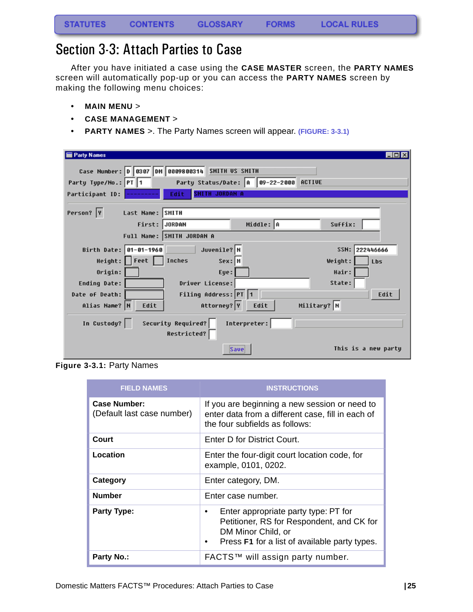### <span id="page-25-1"></span><span id="page-25-0"></span>Section 3-3: Attach Parties to Case

After you have initiated a case using the **CASE MASTER** screen, the **PARTY NAMES** screen will automatically pop-up or you can access the **PARTY NAMES** screen by making the following menu choices:

- **MAIN MENU** >
- **CASE MANAGEMENT** >
- **PARTY NAMES** >. The Party Names screen will appear. **(FIGURE: 3-3.1)**

| <b>Party Names</b>                                                       |                                   |                                        |             | $\blacksquare$ $\blacksquare$ $\times$ |
|--------------------------------------------------------------------------|-----------------------------------|----------------------------------------|-------------|----------------------------------------|
| Case Number: 0 0307 DM 0009800314 SMITH US SMITH<br>Party Type/No.: PT 1 |                                   | Party Status/Date: A 89-22-2000 ACTIVE |             |                                        |
| Participant ID:                                                          | SMITH JORDAN A<br><b>Edit</b>     |                                        |             |                                        |
| Person? Y<br>Last Name: SMITH                                            |                                   |                                        |             |                                        |
|                                                                          | First: JORDAN                     | Middle: A                              | Suffix:     |                                        |
|                                                                          | Full Name: SMITH JORDAN A         |                                        |             |                                        |
| Birth Date: 01-01-1960                                                   | Juvenile? N                       |                                        |             | SSN: 222446666                         |
| $Height:$ $Fect$                                                         | Inches<br>Sex: M                  |                                        | Weight:     | Lbs                                    |
| Origin:                                                                  | Eye:                              |                                        | Hair:       |                                        |
| Ending Date:                                                             | Driver License:                   |                                        | State:      |                                        |
| Date of Death:                                                           | Filing Address: PT 1              |                                        |             | Edit                                   |
| Alias Name? N<br>Edit                                                    | Attorney? Y                       | Edit                                   | Military? N |                                        |
| In Custody?                                                              | Security Required?<br>Restricted? | Interpreter:                           |             |                                        |
|                                                                          |                                   | Save                                   |             | This is a new partu                    |

**Figure 3-3.1:** Party Names

| <b>FIELD NAMES</b>                         | <b>INSTRUCTIONS</b>                                                                                                                                                |
|--------------------------------------------|--------------------------------------------------------------------------------------------------------------------------------------------------------------------|
| Case Number:<br>(Default last case number) | If you are beginning a new session or need to<br>enter data from a different case, fill in each of<br>the four subfields as follows:                               |
| Court                                      | Enter D for District Court.                                                                                                                                        |
| Location                                   | Enter the four-digit court location code, for<br>example, 0101, 0202.                                                                                              |
| Category                                   | Enter category, DM.                                                                                                                                                |
| <b>Number</b>                              | Enter case number.                                                                                                                                                 |
| <b>Party Type:</b>                         | Enter appropriate party type: PT for<br>٠<br>Petitioner, RS for Respondent, and CK for<br>DM Minor Child, or<br>Press F1 for a list of available party types.<br>٠ |
| <b>Party No.:</b>                          | FACTS™ will assign party number.                                                                                                                                   |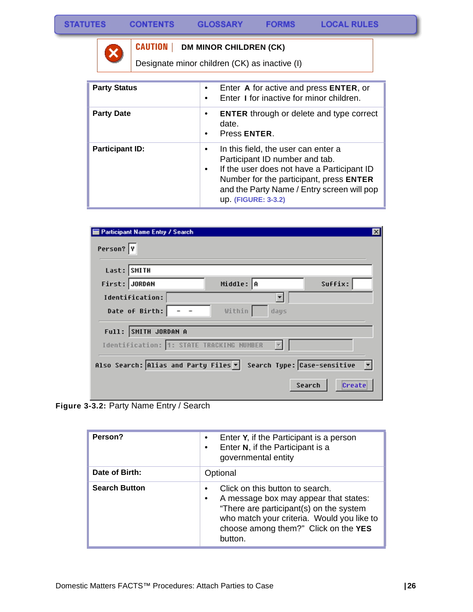

### **CAUTION | DM MINOR CHILDREN (CK)**

Designate minor children (CK) as inactive (I)

| <b>Party Status</b>    | Enter A for active and press ENTER, or<br>٠<br>Enter I for inactive for minor children.<br>$\bullet$                                                                                                                                                  |
|------------------------|-------------------------------------------------------------------------------------------------------------------------------------------------------------------------------------------------------------------------------------------------------|
| <b>Party Date</b>      | <b>ENTER</b> through or delete and type correct<br>٠<br>date.<br>Press ENTER.<br>$\bullet$                                                                                                                                                            |
| <b>Participant ID:</b> | In this field, the user can enter a<br>٠<br>Participant ID number and tab.<br>If the user does not have a Participant ID<br>$\bullet$<br>Number for the participant, press ENTER<br>and the Party Name / Entry screen will pop<br>up. (FIGURE: 3-3.2) |

| <b>Participant Name Entry / Search</b>                              | $\vert x \vert$ |
|---------------------------------------------------------------------|-----------------|
| Person? Y                                                           |                 |
| Last: SMITH                                                         |                 |
| Middle: A<br>First: JORDAN<br>Suffix:                               |                 |
| Identification:<br>Within<br>Date of Birth:<br>days                 |                 |
| Full: SMITH JORDAN A                                                |                 |
| Identification: 1: STATE TRACKING NUMBER                            |                 |
| Search Type: Case-sensitive<br>Also Search: Alias and Party Files v |                 |
| Search<br>Create                                                    |                 |

<span id="page-26-0"></span>**Figure 3-3.2:** Party Name Entry / Search

| Person?              | Enter Y, if the Participant is a person<br>$\bullet$<br>Enter N, if the Participant is a<br>٠<br>governmental entity                                                                                                                           |
|----------------------|------------------------------------------------------------------------------------------------------------------------------------------------------------------------------------------------------------------------------------------------|
| Date of Birth:       | Optional                                                                                                                                                                                                                                       |
| <b>Search Button</b> | Click on this button to search.<br>$\bullet$<br>A message box may appear that states:<br>$\bullet$<br>"There are participant(s) on the system<br>who match your criteria. Would you like to<br>choose among them?" Click on the YES<br>button. |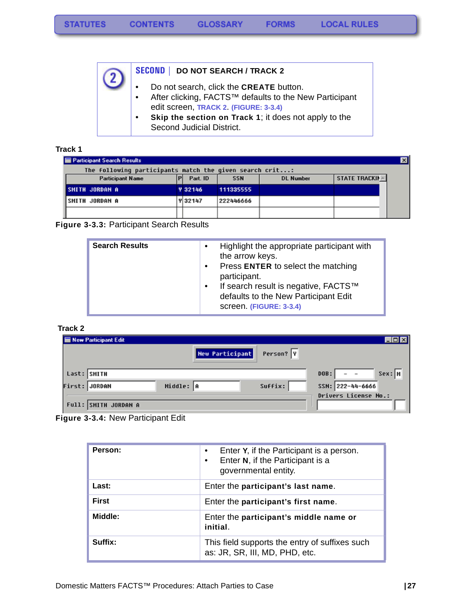| <b>SECOND   DO NOT SEARCH / TRACK 2</b>                                                                                     |
|-----------------------------------------------------------------------------------------------------------------------------|
| Do not search, click the CREATE button.<br>After clicking, FACTS™ defaults to the New Participant<br>$\bullet$              |
| edit screen, TRACK 2. (FIGURE: 3-3.4)<br>Skip the section on Track 1; it does not apply to the<br>Second Judicial District. |

#### **Track 1**

| Participant Search Results                              |                |            |                  |                |  |
|---------------------------------------------------------|----------------|------------|------------------|----------------|--|
| The following participants match the given search crit: |                |            |                  |                |  |
| <b>Participant Name</b>                                 | Part. ID       | <b>SSN</b> | <b>DL Number</b> | STATE TRACKIN- |  |
| <b>SMITH JORDAN A</b>                                   | <b>Y 32146</b> | 111335555  |                  |                |  |
| ISMITH JORDAN A                                         | <b>Y 32147</b> | 222446666  |                  |                |  |
|                                                         |                |            |                  |                |  |

**Figure 3-3.3:** Participant Search Results

| <b>Search Results</b> | Highlight the appropriate participant with<br>$\bullet$<br>the arrow keys.<br>Press ENTER to select the matching<br>$\bullet$<br>participant.<br>$\bullet$ |
|-----------------------|------------------------------------------------------------------------------------------------------------------------------------------------------------|
|                       | If search result is negative, FACTS™<br>defaults to the New Participant Edit<br>screen. (FIGURE: 3-3.4)                                                    |

### <span id="page-27-0"></span> **Track 2**

| New Participant Edit |                 |           | $\Box$ o $\times$    |
|----------------------|-----------------|-----------|----------------------|
|                      | New Participant | Person? Y |                      |
|                      |                 |           |                      |
| Last: SMITH          |                 |           | Sex: N<br>DOB:       |
| First: JORDAN        | Middle: A       | Suffix:   | SSN: 222-44-6666     |
|                      |                 |           | Drivers License No.: |
| Full: SMITH JORDAN A |                 |           |                      |

<span id="page-27-1"></span>**Figure 3-3.4:** New Participant Edit

| Person:      | Enter Y, if the Participant is a person.<br>$\bullet$<br>Enter N, if the Participant is a<br>$\bullet$<br>governmental entity. |
|--------------|--------------------------------------------------------------------------------------------------------------------------------|
| Last:        | Enter the participant's last name.                                                                                             |
| <b>First</b> | Enter the participant's first name.                                                                                            |
| Middle:      | Enter the participant's middle name or<br>initial.                                                                             |
| Suffix:      | This field supports the entry of suffixes such<br>as: JR, SR, III, MD, PHD, etc.                                               |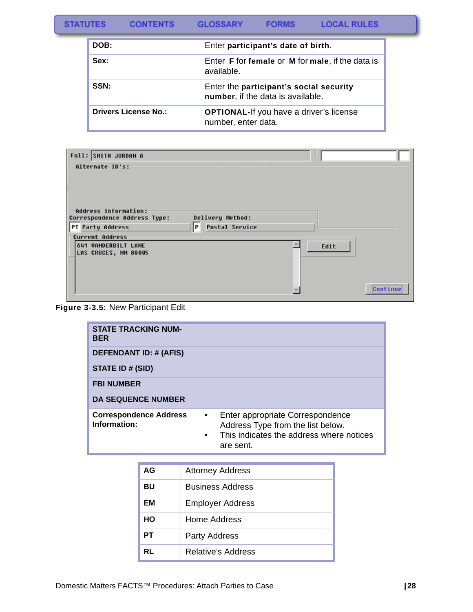**STATUTES GLOSSARY LOCAL RULES CONTENTS FORMS** 

| DOB:                        | Enter participant's date of birth.                                           |
|-----------------------------|------------------------------------------------------------------------------|
| Sex:                        | Enter <b>F</b> for female or <b>M</b> for male, if the data is<br>available. |
| SSN:                        | Enter the participant's social security<br>number, if the data is available. |
| <b>Drivers License No.:</b> | <b>OPTIONAL-If you have a driver's license</b><br>number, enter data.        |

| Full: SMITH JORDAN A                                                                                                                                                                                |          |
|-----------------------------------------------------------------------------------------------------------------------------------------------------------------------------------------------------|----------|
| Alternate ID's:                                                                                                                                                                                     |          |
| Address Information:<br>Delivery Method:<br>Correspondence Address Type:<br>PT Party Address<br><b>Postal Service</b><br>P<br><b>Current Address</b><br>641 VANDERBILT LANE<br>LAS CRUCES, NM 88005 | Edit     |
|                                                                                                                                                                                                     |          |
|                                                                                                                                                                                                     | Continue |



| <b>STATE TRACKING NUM-</b><br><b>BER</b>      |                                                                                                                                                          |
|-----------------------------------------------|----------------------------------------------------------------------------------------------------------------------------------------------------------|
| <b>DEFENDANT ID: # (AFIS)</b>                 |                                                                                                                                                          |
| STATE ID # (SID)                              |                                                                                                                                                          |
| <b>FBI NUMBER</b>                             |                                                                                                                                                          |
| <b>DA SEQUENCE NUMBER</b>                     |                                                                                                                                                          |
| <b>Correspondence Address</b><br>Information: | Enter appropriate Correspondence<br>$\bullet$<br>Address Type from the list below.<br>This indicates the address where notices<br>$\bullet$<br>are sent. |

| AG | <b>Attorney Address</b> |
|----|-------------------------|
| BU | <b>Business Address</b> |
| EМ | <b>Employer Address</b> |
| HO | Home Address            |
| PТ | <b>Party Address</b>    |
| RI | Relative's Address      |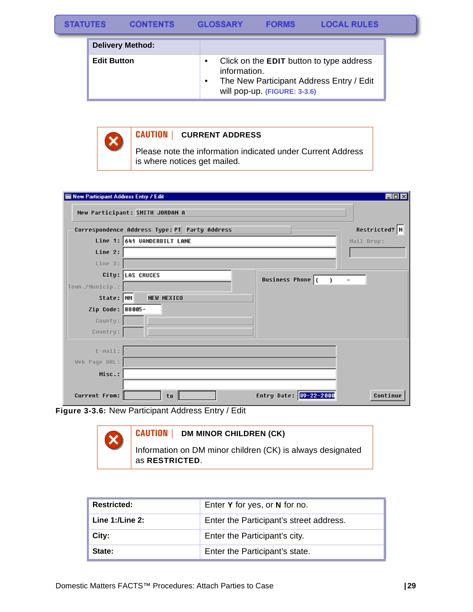**GLOSSARY** 

| <b>Delivery Method:</b> |                                                                                                                                             |
|-------------------------|---------------------------------------------------------------------------------------------------------------------------------------------|
| <b>Edit Button</b>      | Click on the <b>EDIT</b> button to type address<br>information.<br>The New Participant Address Entry / Edit<br>will pop-up. (FIGURE: 3-3.6) |

**FORMS** 



#### **CAUTION | CURRENT ADDRESS**

Please note the information indicated under Current Address is where notices get mailed.

| New Participant Address Entry / Edit |                                               | <b>EDX</b>                                    |
|--------------------------------------|-----------------------------------------------|-----------------------------------------------|
|                                      | New Participant: SMITH JORDAN A               |                                               |
|                                      | Correspondence Address Type: PT Party Address | Restricted? N                                 |
|                                      | Line 1: 641 UANDERBILT LANE                   | Mail Drop:                                    |
| Line 2:                              |                                               |                                               |
| Line 3:                              |                                               |                                               |
|                                      | City: LAS CRUCES                              | <b>Business Phone</b> (<br>$\rightarrow$<br>- |
| Town./Municip.:                      |                                               |                                               |
| State: NM                            | <b>NEW MEXICO</b>                             |                                               |
| Zip Code: 88005-                     |                                               |                                               |
| County:                              |                                               |                                               |
| Country:                             |                                               |                                               |
|                                      |                                               |                                               |
| $E-mail:$                            |                                               |                                               |
| Web Page URL:                        |                                               |                                               |
| Misc.:                               |                                               |                                               |
| <b>Current From:</b>                 | to                                            | Entry Date: 09-22-2000<br>Continue            |

<span id="page-29-0"></span>**Figure 3-3.6:** New Participant Address Entry / Edit



| <b>Restricted:</b>   | Enter Y for yes, or N for no.           |
|----------------------|-----------------------------------------|
| Line $1:$ /Line $2:$ | Enter the Participant's street address. |
| City:                | Enter the Participant's city.           |
| State:               | Enter the Participant's state.          |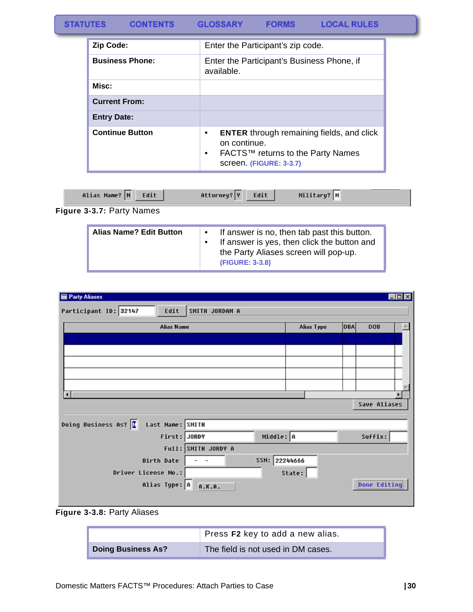#### **STATUTES CONTENTS GLOSSARY FORMS LOCAL RULES**

| <b>Zip Code:</b>       | Enter the Participant's zip code.                                                                                                |
|------------------------|----------------------------------------------------------------------------------------------------------------------------------|
| <b>Business Phone:</b> | Enter the Participant's Business Phone, if<br>available.                                                                         |
| Misc:                  |                                                                                                                                  |
| <b>Current From:</b>   |                                                                                                                                  |
| <b>Entry Date:</b>     |                                                                                                                                  |
| <b>Continue Button</b> | <b>ENTER</b> through remaining fields, and click<br>on continue.<br>FACTS™ returns to the Party Names<br>screen. (FIGURE: 3-3.7) |

<span id="page-30-0"></span>

| Alias Name? N Edit        | Attorney? Y<br>Edit | Military? N |  |
|---------------------------|---------------------|-------------|--|
| Figure 3-3.7: Party Names |                     |             |  |

| <b>Alias Name? Edit Button</b> | If answer is no, then tab past this button.<br>If answer is yes, then click the button and<br>the Party Aliases screen will pop-up.<br>(FIGURE: 3-3.8) |
|--------------------------------|--------------------------------------------------------------------------------------------------------------------------------------------------------|
|                                |                                                                                                                                                        |

| Party Aliases                                   |                     |            | $\Box$ DIX          |
|-------------------------------------------------|---------------------|------------|---------------------|
| Participant ID: 32147<br>Edit                   | SMITH JORDAN A      |            |                     |
| <b>Alias Name</b>                               |                     | Alias Type | DBA<br><b>DOB</b>   |
|                                                 |                     |            |                     |
|                                                 |                     |            |                     |
|                                                 |                     |            |                     |
|                                                 |                     |            |                     |
| ∣∢                                              |                     |            |                     |
|                                                 |                     |            | Save Aliases        |
|                                                 |                     |            |                     |
| Doing Business As? <b>I</b><br>Last Name: SMITH |                     |            |                     |
| First: JORDY                                    | Middle: A           |            | Suffix:             |
|                                                 | Full: SMITH JORDY A |            |                     |
| Birth Date                                      | SSN: 22244666       |            |                     |
| Driver License No.:                             |                     | State:     |                     |
| Alias Type: A A.K.A.                            |                     |            | <b>Done Editing</b> |
|                                                 |                     |            |                     |

<span id="page-30-1"></span>**Figure 3-3.8:** Party Aliases

|                           | Press F2 key to add a new alias.   |
|---------------------------|------------------------------------|
| <b>Doing Business As?</b> | The field is not used in DM cases. |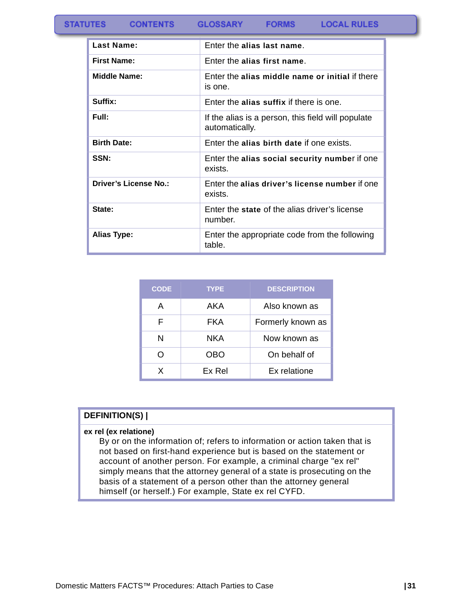| Last Name:                   | Enter the alias last name.                                           |
|------------------------------|----------------------------------------------------------------------|
| <b>First Name:</b>           | Enter the alias first name.                                          |
| <b>Middle Name:</b>          | Enter the alias middle name or initial if there<br>is one.           |
| Suffix:                      | Enter the alias suffix if there is one.                              |
| Full:                        | If the alias is a person, this field will populate<br>automatically. |
| <b>Birth Date:</b>           | Enter the alias birth date if one exists.                            |
| SSN:                         | Enter the alias social security number if one<br>exists.             |
| <b>Driver's License No.:</b> | Enter the alias driver's license number if one<br>exists.            |
| State:                       | Enter the state of the alias driver's license<br>number.             |
| <b>Alias Type:</b>           | Enter the appropriate code from the following<br>table.              |

| <b>CODE</b> | <b>TYPE</b> | <b>DESCRIPTION</b> |
|-------------|-------------|--------------------|
| А           | AKA         | Also known as      |
| F           | FKA         | Formerly known as  |
| N           | NKA         | Now known as       |
| ∩           | OBO         | On behalf of       |
| x           | Ex Rel      | Ex relatione       |

### **DEFINITION(S) |**

#### **ex rel (ex relatione)**

By or on the information of; refers to information or action taken that is not based on first-hand experience but is based on the statement or account of another person. For example, a criminal charge "ex rel" simply means that the attorney general of a state is prosecuting on the basis of a statement of a person other than the attorney general himself (or herself.) For example, State ex rel CYFD.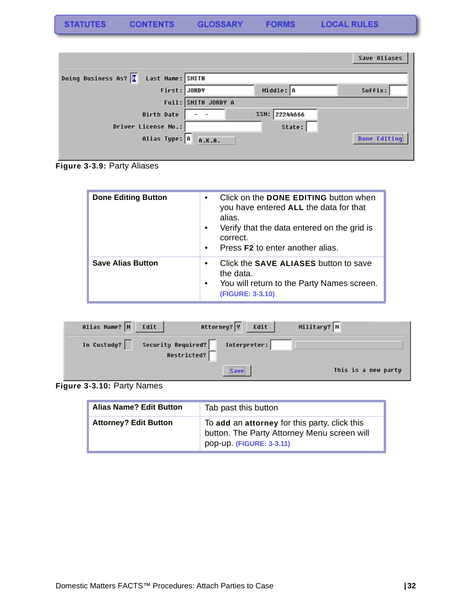**STATUTES** 

|                                                             |                     |               | Save Aliases        |
|-------------------------------------------------------------|---------------------|---------------|---------------------|
| Doing Business As? $\sqrt{\frac{1}{2}}$<br>Last Name: SMITH |                     |               |                     |
| First: JORDY                                                |                     | Middle: A     | Suffix:             |
|                                                             | Full: SMITH JORDY A |               |                     |
| <b>Birth Date</b>                                           |                     | SSN: 22244666 |                     |
| Driver License No.:                                         |                     | State:        |                     |
| Alias Type: A                                               | A.K.A.              |               | <b>Done Editing</b> |

**Figure 3-3.9:** Party Aliases

| <b>Done Editing Button</b> | Click on the <b>DONE EDITING</b> button when<br>$\bullet$<br>you have entered ALL the data for that<br>alias.<br>Verify that the data entered on the grid is<br>correct.<br>Press <b>F2</b> to enter another alias.<br>$\bullet$ |
|----------------------------|----------------------------------------------------------------------------------------------------------------------------------------------------------------------------------------------------------------------------------|
| <b>Save Alias Button</b>   | Click the <b>SAVE ALIASES</b> button to save<br>$\bullet$<br>the data.<br>You will return to the Party Names screen.<br>$\bullet$<br>(FIGURE: 3-3.10)                                                                            |

| Alias Name? N Edit |                                   | Attorney? Y<br>Edit | Military? N         |
|--------------------|-----------------------------------|---------------------|---------------------|
| In Custody?        | Security Required?<br>Restricted? | Interpreter:        |                     |
|                    |                                   | <b>Save</b>         | This is a new party |

<span id="page-32-0"></span>**Figure 3-3.10:** Party Names

| <b>Alias Name? Edit Button</b> | Tab past this button                                                                                                     |
|--------------------------------|--------------------------------------------------------------------------------------------------------------------------|
| <b>Attorney? Edit Button</b>   | To add an attorney for this party, click this<br>button. The Party Attorney Menu screen will<br>pop-up. (FIGURE: 3-3.11) |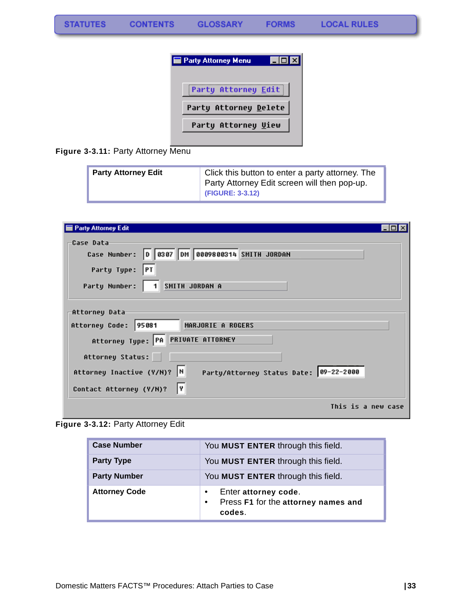

**Figure 3-3.11:** Party Attorney Menu

<span id="page-33-0"></span>

| <b>Party Attorney Edit</b> | Click this button to enter a party attorney. The<br>Party Attorney Edit screen will then pop-up.<br>(FIGURE: 3-3.12) |
|----------------------------|----------------------------------------------------------------------------------------------------------------------|
|----------------------------|----------------------------------------------------------------------------------------------------------------------|

| Party Attorney Edit                                                                                                            |  |  |  |  |
|--------------------------------------------------------------------------------------------------------------------------------|--|--|--|--|
| Case Data<br>Case Number: 0 0307 DM 0009800314 SMITH JORDAN<br>Party Type: PT                                                  |  |  |  |  |
| Party Number:   1 SMITH JORDAN A                                                                                               |  |  |  |  |
| Attorney Data<br>MARJORIE A ROGERS<br><b>Attorney Code:</b><br>95081<br>Attorney Type: PA PRIVATE ATTORNEY<br>Attorney Status: |  |  |  |  |
| Attorney Inactive (Y/N)?  N<br>Party/Attorney Status Date: 09-22-2000<br>I٧<br>Contact Attorney (Y/N)?                         |  |  |  |  |
| This is a new case                                                                                                             |  |  |  |  |

<span id="page-33-1"></span>**Figure 3-3.12:** Party Attorney Edit

| <b>Case Number</b>   | You MUST ENTER through this field.                                                 |
|----------------------|------------------------------------------------------------------------------------|
| <b>Party Type</b>    | You MUST ENTER through this field.                                                 |
| <b>Party Number</b>  | You MUST ENTER through this field.                                                 |
| <b>Attorney Code</b> | Enter attorney code.<br>Press F1 for the attorney names and<br>$\bullet$<br>codes. |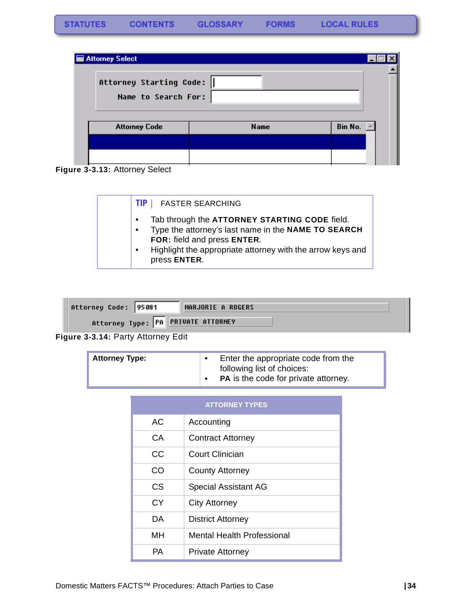| <b>Attorney Select</b>                            |             |         |
|---------------------------------------------------|-------------|---------|
| Attorney Starting Code:   <br>Name to Search For: |             |         |
| <b>Attorney Code</b>                              | <b>Name</b> | Bin No. |
|                                                   |             |         |
|                                                   |             |         |

**Figure 3-3.13:** Attorney Select

|           | <b>FASTER SEARCHING</b><br>TIP 1                                                                                                                                                                                  |
|-----------|-------------------------------------------------------------------------------------------------------------------------------------------------------------------------------------------------------------------|
| $\bullet$ | Tab through the ATTORNEY STARTING CODE field.<br>Type the attorney's last name in the NAME TO SEARCH<br>FOR: field and press ENTER.<br>Highlight the appropriate attorney with the arrow keys and<br>press ENTER. |

| Attorney Code: 95081               |  | MARJORIE A ROGERS |
|------------------------------------|--|-------------------|
| Attorney Type: PA PRIVATE ATTORNEY |  |                   |

**Figure 3-3.14:** Party Attorney Edit

| <b>Attorney Type:</b> | Enter the appropriate code from the<br>following list of choices:<br><b>PA</b> is the code for private attorney. |
|-----------------------|------------------------------------------------------------------------------------------------------------------|
|                       |                                                                                                                  |

| <b>ATTORNEY TYPES</b>         |                                   |  |  |  |
|-------------------------------|-----------------------------------|--|--|--|
| <b>AC</b>                     | Accounting                        |  |  |  |
| CA                            | <b>Contract Attorney</b>          |  |  |  |
| CC                            | Court Clinician                   |  |  |  |
| CO                            | <b>County Attorney</b>            |  |  |  |
| CS                            | <b>Special Assistant AG</b>       |  |  |  |
| <b>CY</b>                     | <b>City Attorney</b>              |  |  |  |
| DA                            | <b>District Attorney</b>          |  |  |  |
| мн                            | <b>Mental Health Professional</b> |  |  |  |
| PА<br><b>Private Attorney</b> |                                   |  |  |  |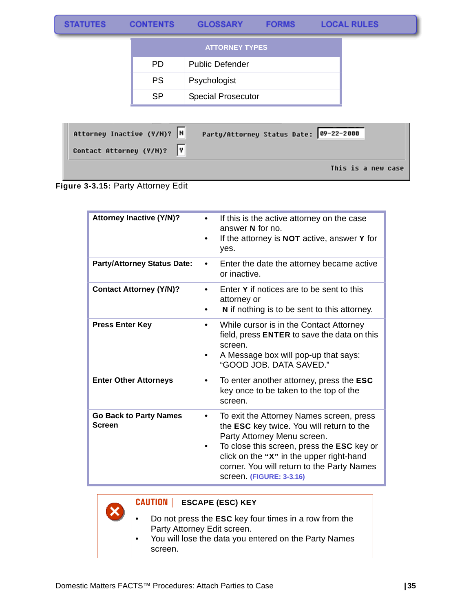| <b>ATTORNEY TYPES</b> |                           |  |  |  |
|-----------------------|---------------------------|--|--|--|
| PD.                   | <b>Public Defender</b>    |  |  |  |
| <b>PS</b>             | Psychologist              |  |  |  |
| SP                    | <b>Special Prosecutor</b> |  |  |  |

| Attorney Inactive (Y/N)? N<br>Party/Attorney Status Date: 09-22-2000<br>Contact Attorney (Y/M)? Y |
|---------------------------------------------------------------------------------------------------|
| This is a new case                                                                                |



| <b>Attorney Inactive (Y/N)?</b>                | If this is the active attorney on the case<br>answer N for no.<br>If the attorney is <b>NOT</b> active, answer Y for<br>yes.                                                                                                                                                                          |
|------------------------------------------------|-------------------------------------------------------------------------------------------------------------------------------------------------------------------------------------------------------------------------------------------------------------------------------------------------------|
| <b>Party/Attorney Status Date:</b>             | Enter the date the attorney became active<br>٠<br>or inactive.                                                                                                                                                                                                                                        |
| <b>Contact Attorney (Y/N)?</b>                 | Enter Y if notices are to be sent to this<br>$\bullet$<br>attorney or<br>N if nothing is to be sent to this attorney.                                                                                                                                                                                 |
| <b>Press Enter Key</b>                         | While cursor is in the Contact Attorney<br>$\bullet$<br>field, press ENTER to save the data on this<br>screen.<br>A Message box will pop-up that says:<br>"GOOD JOB. DATA SAVED."                                                                                                                     |
| <b>Enter Other Attorneys</b>                   | To enter another attorney, press the ESC<br>key once to be taken to the top of the<br>screen.                                                                                                                                                                                                         |
| <b>Go Back to Party Names</b><br><b>Screen</b> | To exit the Attorney Names screen, press<br>$\bullet$<br>the ESC key twice. You will return to the<br>Party Attorney Menu screen.<br>To close this screen, press the ESC key or<br>click on the "X" in the upper right-hand<br>corner. You will return to the Party Names<br>screen. (FIGURE: 3-3.16) |



### **CAUTION | ESCAPE (ESC) KEY**

- Do not press the **ESC** key four times in a row from the Party Attorney Edit screen.
- You will lose the data you entered on the Party Names screen.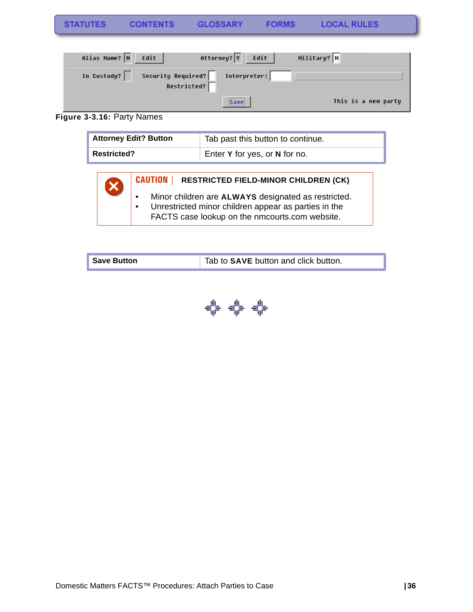| Alias Name? N | Edit                              | Attorney? Y<br>Edit | Military? N         |
|---------------|-----------------------------------|---------------------|---------------------|
| In Custody?   | Security Required?<br>Restricted? | Interpreter:        |                     |
|               |                                   | Save                | This is a new party |

### **Figure 3-3.16:** Party Names

| <b>Attorney Edit? Button</b> | Tab past this button to continue. |
|------------------------------|-----------------------------------|
| <b>Restricted?</b>           | Enter Y for yes, or N for no.     |

| ⊗ | <b>CAUTION   RESTRICTED FIELD-MINOR CHILDREN (CK)</b>                                                                                                         |
|---|---------------------------------------------------------------------------------------------------------------------------------------------------------------|
|   | Minor children are ALWAYS designated as restricted.<br>Unrestricted minor children appear as parties in the<br>FACTS case lookup on the nmcourts.com website. |

| <b>Save Button</b> | Tab to <b>SAVE</b> button and click button. |
|--------------------|---------------------------------------------|

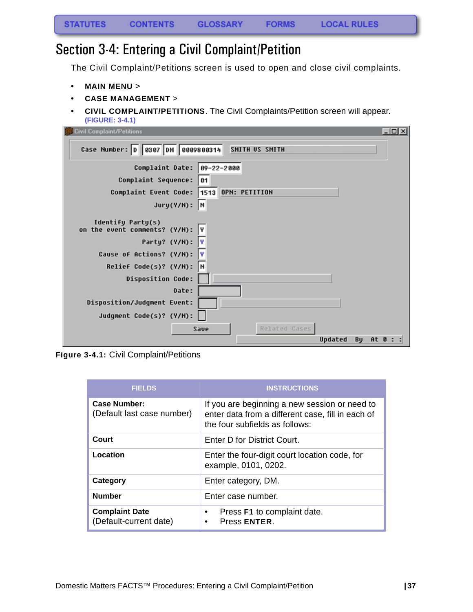### <span id="page-37-0"></span>Section 3-4: Entering a Civil Complaint/Petition

<span id="page-37-1"></span>The Civil Complaint/Petitions screen is used to open and close civil complaints.

- **MAIN MENU** >
- **CASE MANAGEMENT** >
- **CIVIL COMPLAINT/PETITIONS**. The Civil Complaints/Petition screen will appear. **[\(FIGURE: 3-4.1\)](#page-37-2)**

| $ \Box$ $\times$<br><b>Civil Complaint/Petitions</b>       |
|------------------------------------------------------------|
| Case Number:  D   0307   DM   0009800314<br>SMITH US SMITH |
| Complaint Date: 09-22-2000                                 |
| Complaint Sequence:  <br>81                                |
| OPN: PETITION<br>Complaint Event Code: 1513                |
| $Jury(Y/N):$ N                                             |
| Identify Party(s)<br>on the event comments? (Y/N): Y       |
| Party? (Y/M): Y                                            |
| Cause of Actions? (Y/N): <mark>Y</mark>                    |
| Relief Code(s)? (Y/M): N                                   |
| <b>Disposition Code:</b>                                   |
| Date:                                                      |
| Disposition/Judgment Event:                                |
| Judgment Code(s)? (Y/N):                                   |
| Related Cases<br>Save                                      |
| Updated<br><b>By</b><br>At 0 : :                           |

<span id="page-37-2"></span>**Figure 3-4.1:** Civil Complaint/Petitions

| <b>FIELDS</b>                                     | <b>INSTRUCTIONS</b>                                                                                                                  |  |
|---------------------------------------------------|--------------------------------------------------------------------------------------------------------------------------------------|--|
| <b>Case Number:</b><br>(Default last case number) | If you are beginning a new session or need to<br>enter data from a different case, fill in each of<br>the four subfields as follows: |  |
| Court                                             | Enter D for District Court.                                                                                                          |  |
| Location                                          | Enter the four-digit court location code, for<br>example, 0101, 0202.                                                                |  |
| Category                                          | Enter category, DM.                                                                                                                  |  |
| <b>Number</b>                                     | Enter case number.                                                                                                                   |  |
| <b>Complaint Date</b><br>(Default-current date)   | Press F1 to complaint date.<br>٠<br>Press ENTER.<br>٠                                                                                |  |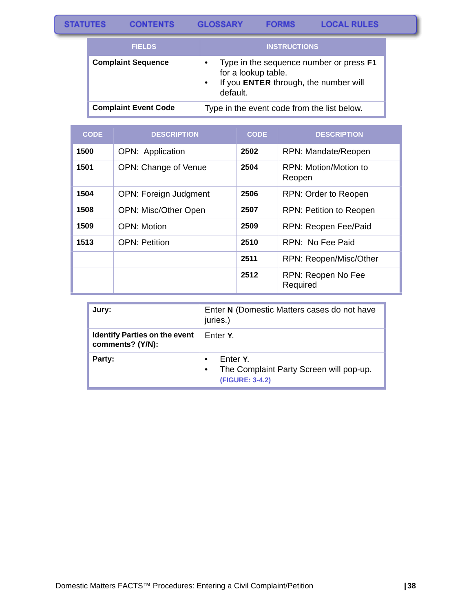| <b>FIELDS</b>               | <b>INSTRUCTIONS</b>                                                                                                                                  |
|-----------------------------|------------------------------------------------------------------------------------------------------------------------------------------------------|
| <b>Complaint Sequence</b>   | Type in the sequence number or press <b>F1</b><br>$\bullet$<br>for a lookup table.<br>If you ENTER through, the number will<br>$\bullet$<br>default. |
| <b>Complaint Event Code</b> | Type in the event code from the list below.                                                                                                          |

| <b>CODE</b> | <b>DESCRIPTION</b>           | <b>CODE</b> | <b>DESCRIPTION</b>              |
|-------------|------------------------------|-------------|---------------------------------|
| 1500        | OPN: Application             | 2502        | RPN: Mandate/Reopen             |
| 1501        | OPN: Change of Venue         | 2504        | RPN: Motion/Motion to<br>Reopen |
| 1504        | <b>OPN: Foreign Judgment</b> | 2506        | RPN: Order to Reopen            |
| 1508        | OPN: Misc/Other Open         | 2507        | <b>RPN: Petition to Reopen</b>  |
| 1509        | <b>OPN: Motion</b>           | 2509        | RPN: Reopen Fee/Paid            |
| 1513        | <b>OPN: Petition</b>         | 2510        | RPN: No Fee Paid                |
|             |                              | 2511        | RPN: Reopen/Misc/Other          |
|             |                              | 2512        | RPN: Reopen No Fee<br>Required  |

| Jury:                                                    | Enter N (Domestic Matters cases do not have<br>juries.)                                          |
|----------------------------------------------------------|--------------------------------------------------------------------------------------------------|
| <b>Identify Parties on the event</b><br>comments? (Y/N): | Enter Y.                                                                                         |
| Party:                                                   | Enter Y.<br>$\bullet$<br>The Complaint Party Screen will pop-up.<br>$\bullet$<br>(FIGURE: 3-4.2) |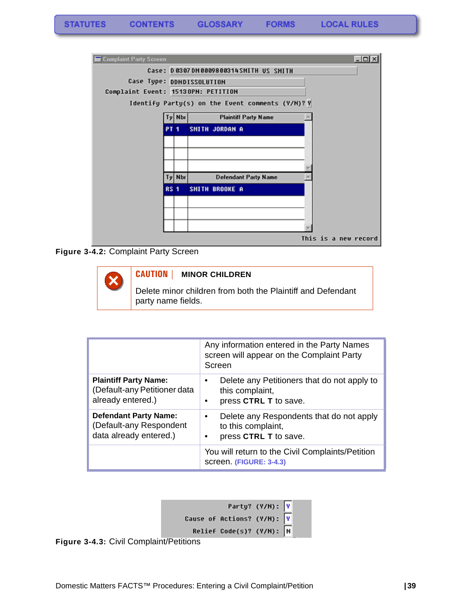

**Figure 3-4.2:** Complaint Party Screen



Delete minor children from both the Plaintiff and Defendant party name fields.

|                              | Any information entered in the Party Names<br>screen will appear on the Complaint Party<br>Screen |  |
|------------------------------|---------------------------------------------------------------------------------------------------|--|
| <b>Plaintiff Party Name:</b> | Delete any Petitioners that do not apply to                                                       |  |
| (Default-any Petitioner data | this complaint,                                                                                   |  |
| already entered.)            | press CTRL T to save.                                                                             |  |
| <b>Defendant Party Name:</b> | Delete any Respondents that do not apply                                                          |  |
| (Default-any Respondent      | to this complaint,                                                                                |  |
| data already entered.)       | press CTRL T to save.                                                                             |  |
|                              | You will return to the Civil Complaints/Petition<br>screen. (FIGURE: 3-4.3)                       |  |

|                            | Party? (Y/N): V |  |
|----------------------------|-----------------|--|
| Cause of Actions? (Y/N): V |                 |  |
| Relief Code(s)? $(Y/N):$ N |                 |  |

<span id="page-39-0"></span>**Figure 3-4.3:** Civil Complaint/Petitions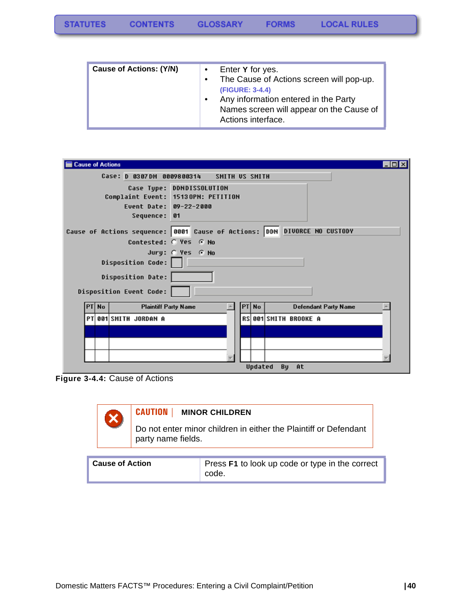| <b>Cause of Actions: (Y/N)</b> | $\bullet$ | Enter Y for yes.<br>The Cause of Actions screen will pop-up.<br>(FIGURE: 3-4.4)<br>Any information entered in the Party |
|--------------------------------|-----------|-------------------------------------------------------------------------------------------------------------------------|
|                                |           | Names screen will appear on the Cause of<br>Actions interface.                                                          |

| <b>Cause of Actions</b>                                                                                   | $\Box$ D $\times$                    |
|-----------------------------------------------------------------------------------------------------------|--------------------------------------|
| Case: D 0307DM 0009800314                                                                                 | SMITH US SMITH                       |
| Case Type: DDNDISSOLUTION<br>Complaint Event: 15130PN: PETITION<br>Event Date: 09-22-2000<br>Sequence: 01 |                                      |
| Cause of Actions sequence: 0001 Cause of Actions: DDN                                                     | DIUORCE NO CUSTODY                   |
| Contested: C Yes G No                                                                                     |                                      |
| Disposition Code:  <br><b>Disposition Date:</b>                                                           | Jury: @ Yes @ No                     |
| Disposition Event Code:                                                                                   |                                      |
| PT No<br><b>Plaintiff Party Name</b>                                                                      | PT No<br><b>Defendant Party Name</b> |
| PT 001 SMITH JORDAN A                                                                                     | RS 001 SMITH BROOKE A                |
|                                                                                                           | Updated<br>By At                     |

<span id="page-40-0"></span>**Figure 3-4.4:** Cause of Actions



### **CAUTION | MINOR CHILDREN**

Do not enter minor children in either the Plaintiff or Defendant party name fields.

| <b>Cause of Action</b> | Press F1 to look up code or type in the correct<br>` code. |
|------------------------|------------------------------------------------------------|
|                        |                                                            |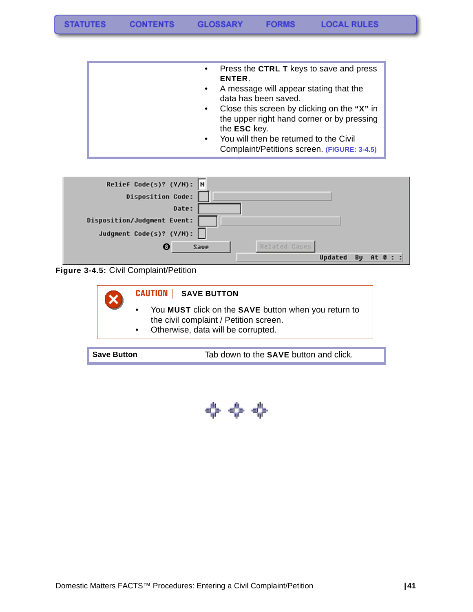| Press the CTRL T keys to save and press<br>ENTER.<br>A message will appear stating that the<br>data has been saved.<br>Close this screen by clicking on the "X" in<br>٠<br>the upper right hand corner or by pressing<br>the ESC key.<br>You will then be returned to the Civil<br>$\bullet$ |
|----------------------------------------------------------------------------------------------------------------------------------------------------------------------------------------------------------------------------------------------------------------------------------------------|
| Complaint/Petitions screen. (FIGURE: 3-4.5)                                                                                                                                                                                                                                                  |

**FORMS** 



#### <span id="page-41-0"></span>**Figure 3-4.5:** Civil Complaint/Petition

|                    | <b>CAUTION</b>   SAVE BUTTON                                                                                                                      |
|--------------------|---------------------------------------------------------------------------------------------------------------------------------------------------|
|                    | You MUST click on the SAVE button when you return to<br>the civil complaint / Petition screen.<br>Otherwise, data will be corrupted.<br>$\bullet$ |
|                    |                                                                                                                                                   |
| <b>Save Button</b> | Tab down to the <b>SAVE</b> button and click.                                                                                                     |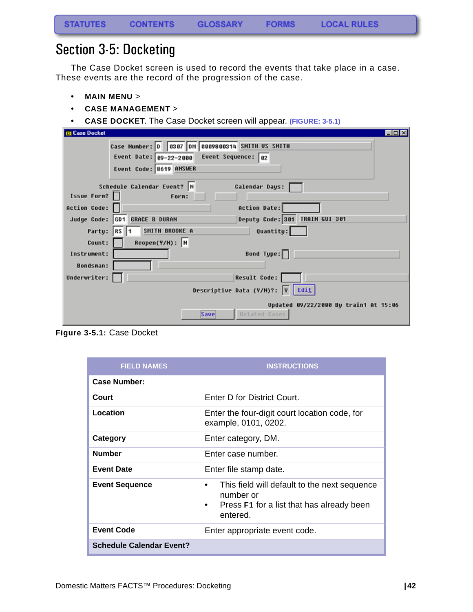### <span id="page-42-1"></span><span id="page-42-0"></span>Section 3-5: Docketing

The Case Docket screen is used to record the events that take place in a case. These events are the record of the progression of the case.

- **MAIN MENU** >
- **CASE MANAGEMENT** >
- **CASE DOCKET**. The Case Docket screen will appear. **[\(FIGURE: 3-5.1\)](#page-42-2)**

| <b>Case Docket</b>  |                                                                                                                             | $\Box$ o $\times$ |
|---------------------|-----------------------------------------------------------------------------------------------------------------------------|-------------------|
|                     | Case Number: 0 0307 DM 0009800314 SMITH US SMITH<br>Event Sequence: 02<br>Event Date: 09-22-2000<br>Event Code: 8619 ANSWER |                   |
|                     | Schedule Calendar Event?  N<br>Calendar Days:                                                                               |                   |
| Issue Form?         | Forn:                                                                                                                       |                   |
| <b>Action Code:</b> | Action Date:                                                                                                                |                   |
|                     | Deputy Code: 301 TRAIN GUI 301<br>Judge Code: GD1 GRACE B DURAN                                                             |                   |
| Party: RS 1         | SMITH BROOKE A<br>Quantity:                                                                                                 |                   |
| Count:              | $Reopen(Y/N):$ N                                                                                                            |                   |
| Instrument:         | Bond Type: $\Box$                                                                                                           |                   |
| <b>Bondsman:</b>    |                                                                                                                             |                   |
| Underwriter:        | <b>Result Code:</b>                                                                                                         |                   |
|                     | Descriptive Data (Y/M)?: V Edit                                                                                             |                   |
|                     | Updated 09/22/2000 By train1 At 15:06<br>Related Cases<br><b>Save</b>                                                       |                   |

<span id="page-42-2"></span>**Figure 3-5.1:** Case Docket

| <b>FIELD NAMES</b>              | <b>INSTRUCTIONS</b>                                                                                                            |
|---------------------------------|--------------------------------------------------------------------------------------------------------------------------------|
| <b>Case Number:</b>             |                                                                                                                                |
| Court                           | Enter D for District Court.                                                                                                    |
| Location                        | Enter the four-digit court location code, for<br>example, 0101, 0202.                                                          |
| Category                        | Enter category, DM.                                                                                                            |
| <b>Number</b>                   | Enter case number.                                                                                                             |
| <b>Event Date</b>               | Enter file stamp date.                                                                                                         |
| <b>Event Sequence</b>           | This field will default to the next sequence<br>number or<br>Press <b>F1</b> for a list that has already been<br>٠<br>entered. |
| <b>Event Code</b>               | Enter appropriate event code.                                                                                                  |
| <b>Schedule Calendar Event?</b> |                                                                                                                                |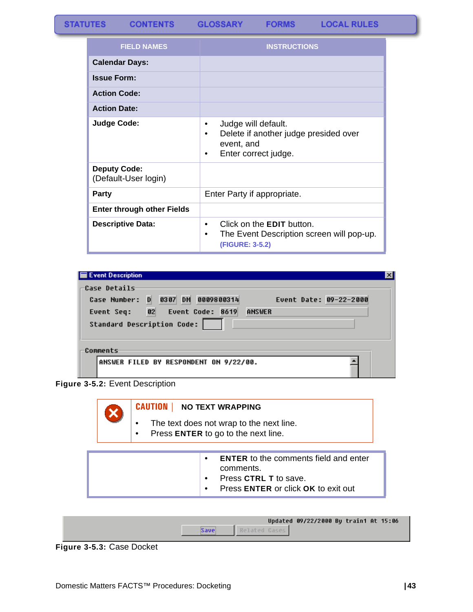**GLOSSARY** 

**FORMS** 

| <b>FIELD NAMES</b>                          | <b>INSTRUCTIONS</b>                                                                                               |  |
|---------------------------------------------|-------------------------------------------------------------------------------------------------------------------|--|
| <b>Calendar Days:</b>                       |                                                                                                                   |  |
| <b>Issue Form:</b>                          |                                                                                                                   |  |
| <b>Action Code:</b>                         |                                                                                                                   |  |
| <b>Action Date:</b>                         |                                                                                                                   |  |
| <b>Judge Code:</b>                          | Judge will default.<br>٠<br>Delete if another judge presided over<br>٠<br>event, and<br>Enter correct judge.<br>٠ |  |
| <b>Deputy Code:</b><br>(Default-User login) |                                                                                                                   |  |
| <b>Party</b>                                | Enter Party if appropriate.                                                                                       |  |
| <b>Enter through other Fields</b>           |                                                                                                                   |  |
| <b>Descriptive Data:</b>                    | Click on the EDIT button.<br>٠<br>The Event Description screen will pop-up.<br>٠<br>(FIGURE: 3-5.2)               |  |

| <b>Event Description</b>                                                                                                                                                                  | $\times$ |
|-------------------------------------------------------------------------------------------------------------------------------------------------------------------------------------------|----------|
| <b>Case Details</b><br>D<br>DM 0009800314<br>0307<br>Event Date: 09-22-2000<br><b>Case Number:</b><br>02<br>Event Code: 8619<br><b>ANSWER</b><br>Event Seq:<br>Standard Description Code: |          |
| Comments<br>ANSWER FILED BY RESPONDENT ON 9/22/00.                                                                                                                                        |          |

### <span id="page-43-0"></span>**Figure 3-5.2:** Event Description



|                          |               | Updated 09/22/2000 By train1 At 15:06 |
|--------------------------|---------------|---------------------------------------|
|                          | Related Cases |                                       |
| $\overline{\phantom{a}}$ |               |                                       |

<span id="page-43-1"></span>**Figure 3-5.3:** Case Docket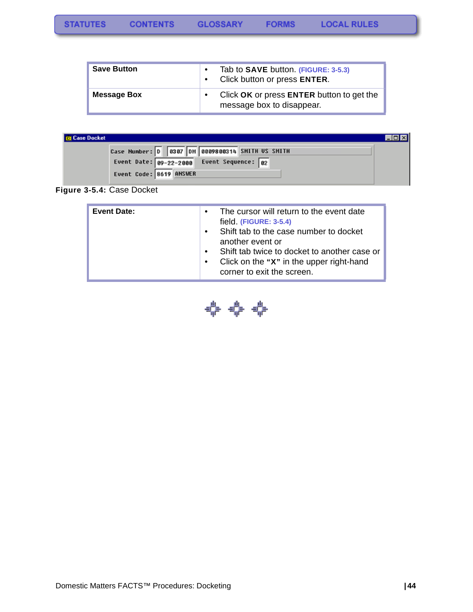| <b>Save Button</b> | Tab to <b>SAVE</b> button. (FIGURE: 3-5.3)<br>Click button or press ENTER. |
|--------------------|----------------------------------------------------------------------------|
| <b>Message Box</b> | Click OK or press ENTER button to get the<br>message box to disappear.     |

| <b>Ed Case Docket</b> |                                                  |  |
|-----------------------|--------------------------------------------------|--|
|                       | Case Number: 0 0307 DM 0009800314 SMITH US SMITH |  |
|                       | Event Date: $09-22-2000$<br>Event Sequence: 02   |  |
|                       | Event Code: 8619 ANSWER                          |  |

<span id="page-44-0"></span>**Figure 3-5.4:** Case Docket

| <b>Event Date:</b> | The cursor will return to the event date<br>$\bullet$<br>field. (FIGURE: 3-5.4)<br>Shift tab to the case number to docket<br>another event or<br>Shift tab twice to docket to another case or |
|--------------------|-----------------------------------------------------------------------------------------------------------------------------------------------------------------------------------------------|
|                    | Click on the "X" in the upper right-hand<br>$\bullet$<br>corner to exit the screen.                                                                                                           |

$$
\Leftrightarrow\Leftrightarrow\Leftrightarrow
$$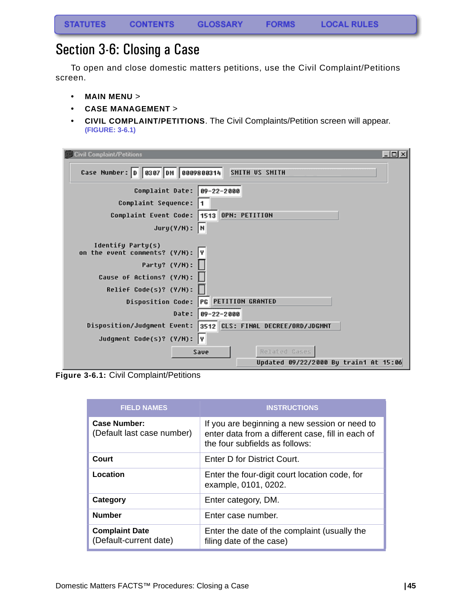### <span id="page-45-1"></span><span id="page-45-0"></span>Section 3-6: Closing a Case

To open and close domestic matters petitions, use the Civil Complaint/Petitions screen.

- **MAIN MENU** >
- **CASE MANAGEMENT** >
- **CIVIL COMPLAINT/PETITIONS**. The Civil Complaints/Petition screen will appear. **[\(FIGURE: 3-6.1\)](#page-45-2)**

| $ \Box$ $\times$<br><b>Civil Complaint/Petitions</b>             |
|------------------------------------------------------------------|
| Case Number: D   0307 DM   0009800314<br>SMITH US SMITH          |
| Complaint Date:<br>$ 09-22-2000$                                 |
| Complaint Sequence:                                              |
| Complaint Event Code: 1513 OPN: PETITION                         |
| $Jury(Y/N):$ N                                                   |
| Identify Party(s)<br>on the event comments? (Y/N):<br>I٧         |
| Party? (Y/N):                                                    |
| Cause of Actions? (Y/N):                                         |
| Relief Code(s)? (Y/N):                                           |
| PG PETITION GRANTED<br>Disposition Code:                         |
| Date:<br>09-22-2000                                              |
| 3512 CLS: FINAL DECREE/ORD/JDGMNT<br>Disposition/Judgment Event: |
| Judgment Code(s)? (Y/N): Y                                       |
| Related Gases<br>Save                                            |
| Updated 09/22/2000 By train1 At 15:06                            |

<span id="page-45-2"></span>**Figure 3-6.1:** Civil Complaint/Petitions

| <b>FIELD NAMES</b>                                | <b>INSTRUCTIONS</b>                                                                                                                  |
|---------------------------------------------------|--------------------------------------------------------------------------------------------------------------------------------------|
| <b>Case Number:</b><br>(Default last case number) | If you are beginning a new session or need to<br>enter data from a different case, fill in each of<br>the four subfields as follows: |
| Court                                             | Enter D for District Court.                                                                                                          |
| Location                                          | Enter the four-digit court location code, for<br>example, 0101, 0202.                                                                |
| Category                                          | Enter category, DM.                                                                                                                  |
| <b>Number</b>                                     | Enter case number.                                                                                                                   |
| <b>Complaint Date</b><br>(Default-current date)   | Enter the date of the complaint (usually the<br>filing date of the case)                                                             |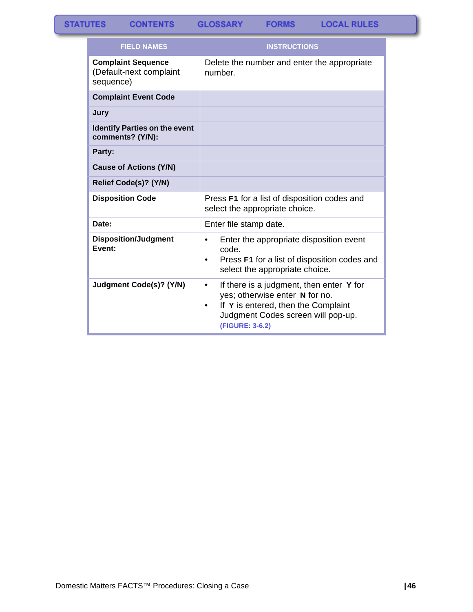**GLOSSARY** 

**FORMS** 

| <b>FIELD NAMES</b>                                                | <b>INSTRUCTIONS</b>                                                                                                                                                                                  |  |
|-------------------------------------------------------------------|------------------------------------------------------------------------------------------------------------------------------------------------------------------------------------------------------|--|
| <b>Complaint Sequence</b><br>(Default-next complaint<br>sequence) | Delete the number and enter the appropriate<br>number.                                                                                                                                               |  |
| <b>Complaint Event Code</b>                                       |                                                                                                                                                                                                      |  |
| Jury                                                              |                                                                                                                                                                                                      |  |
| <b>Identify Parties on the event</b><br>comments? (Y/N):          |                                                                                                                                                                                                      |  |
| Party:                                                            |                                                                                                                                                                                                      |  |
| <b>Cause of Actions (Y/N)</b>                                     |                                                                                                                                                                                                      |  |
| Relief Code(s)? (Y/N)                                             |                                                                                                                                                                                                      |  |
| <b>Disposition Code</b>                                           | Press F1 for a list of disposition codes and<br>select the appropriate choice.                                                                                                                       |  |
| Date:                                                             | Enter file stamp date.                                                                                                                                                                               |  |
| <b>Disposition/Judgment</b><br>Event:                             | Enter the appropriate disposition event<br>٠<br>code.<br>Press F1 for a list of disposition codes and<br>select the appropriate choice.                                                              |  |
| <b>Judgment Code(s)? (Y/N)</b>                                    | If there is a judgment, then enter Y for<br>$\bullet$<br>yes; otherwise enter N for no.<br>If Y is entered, then the Complaint<br>$\bullet$<br>Judgment Codes screen will pop-up.<br>(FIGURE: 3-6.2) |  |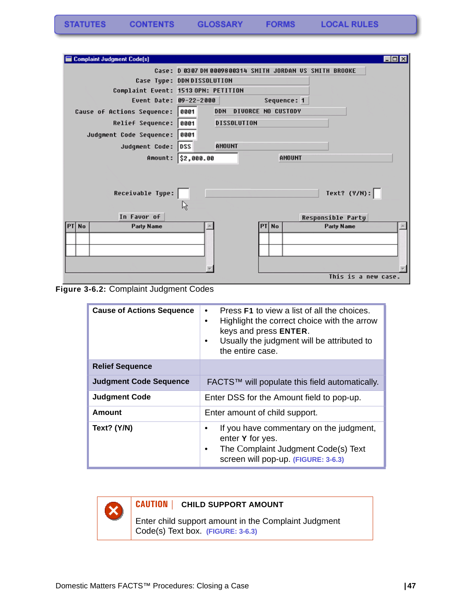| <b>Complaint Judgment Code(s)</b> | $\Box$ o $\mathbf{x}$                             |
|-----------------------------------|---------------------------------------------------|
| Case:                             | D 0307 DM 0009800314 SMITH JORDAN US SMITH BROOKE |
|                                   | Case Type: DDNDISSOLUTION                         |
|                                   | Complaint Event: 1513 OPN: PETITION               |
| Event Date: 09-22-2000            | Sequence: 1                                       |
| Cause of Actions Sequence:        | 8881<br><b>DDN</b><br><b>DIUORCE NO CUSTODY</b>   |
| <b>Relief Sequence:</b>           | 8881<br>DISSOLUTION                               |
| Judgment Code Sequence:           | 8881                                              |
| Judgment Code:                    | DSS<br><b>AMOUNT</b>                              |
|                                   | Amount: \$2,000.00<br><b>AMOUNT</b>               |
|                                   |                                                   |
| Receivable Type:                  | Text? $(Y/N):$                                    |
|                                   | 19                                                |
| In Favor of                       | <b>Responsible Party</b>                          |
| PI<br><b>No</b><br>Party Name     | PTI<br>No<br><b>Party Name</b>                    |
|                                   |                                                   |
|                                   |                                                   |
|                                   |                                                   |
|                                   | This is a new rase                                |

<span id="page-47-0"></span>**Figure 3-6.2:** Complaint Judgment Codes

| <b>Cause of Actions Sequence</b> | Press F1 to view a list of all the choices.<br>$\bullet$<br>Highlight the correct choice with the arrow<br>٠<br>keys and press ENTER.<br>Usually the judgment will be attributed to<br>$\bullet$<br>the entire case. |  |
|----------------------------------|----------------------------------------------------------------------------------------------------------------------------------------------------------------------------------------------------------------------|--|
| <b>Relief Sequence</b>           |                                                                                                                                                                                                                      |  |
| <b>Judgment Code Sequence</b>    | FACTS™ will populate this field automatically.                                                                                                                                                                       |  |
| <b>Judgment Code</b>             | Enter DSS for the Amount field to pop-up.                                                                                                                                                                            |  |
| Amount                           | Enter amount of child support.                                                                                                                                                                                       |  |
| Text? (Y/N)                      | If you have commentary on the judgment,<br>٠<br>enter Y for yes.<br>The Complaint Judgment Code(s) Text<br>$\bullet$<br>screen will pop-up. (FIGURE: 3-6.3)                                                          |  |



### **CAUTION | CHILD SUPPORT AMOUNT**

Enter child support amount in the Complaint Judgment Code(s) Text box. **[\(FIGURE: 3-6.3\)](#page-48-0)**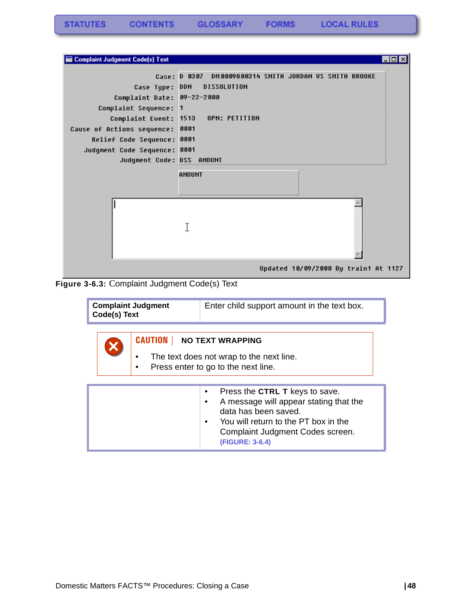| Complaint Judgment Code(s) Text                                                                                                                                                                                   |                                                                                                                                                                | $ \Box$ $\times$ |
|-------------------------------------------------------------------------------------------------------------------------------------------------------------------------------------------------------------------|----------------------------------------------------------------------------------------------------------------------------------------------------------------|------------------|
| Case Type:<br>Complaint Date: 09-22-2000<br>Complaint Sequence:<br>Complaint Event: 1513<br>Cause of Actions sequence:<br>Relief Code Sequence: 0001<br>Judgment Code Sequence: 0001<br>Judgment Code: DSS AMOUNT | DM0009800314 SMITH JORDAN US SMITH BROOKE<br>Case: D 0307<br><b>DISSOLUTION</b><br><b>DDH</b><br>$\mathbf{1}$<br><b>OPN: PETITION</b><br>0001<br><b>AMOUNT</b> |                  |
|                                                                                                                                                                                                                   |                                                                                                                                                                |                  |
|                                                                                                                                                                                                                   | Updated 10/09/2000 By train1 At 1127                                                                                                                           |                  |

<span id="page-48-0"></span>**Figure 3-6.3:** Complaint Judgment Code(s) Text

| <b>Complaint Judgment</b><br>Code(s) Text |                                   | Enter child support amount in the text box.                                     |
|-------------------------------------------|-----------------------------------|---------------------------------------------------------------------------------|
|                                           | <b>CAUTION   NO TEXT WRAPPING</b> |                                                                                 |
|                                           | $\bullet$                         | The text does not wrap to the next line.<br>Press enter to go to the next line. |

| Press the CTRL T keys to save.<br>A message will appear stating that the |
|--------------------------------------------------------------------------|
| data has been saved.<br>You will return to the PT box in the             |
| Complaint Judgment Codes screen.<br>(FIGURE: 3-6.4)                      |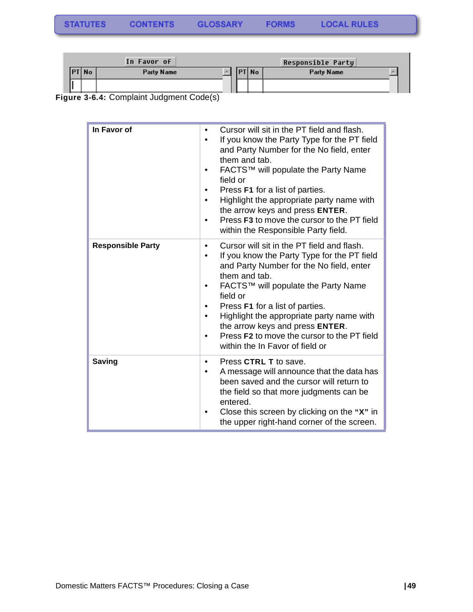<span id="page-49-0"></span>**Figure 3-6.4:** Complaint Judgment Code(s)

| In Favor of              | Cursor will sit in the PT field and flash.<br>٠<br>If you know the Party Type for the PT field<br>and Party Number for the No field, enter<br>them and tab.<br>FACTS™ will populate the Party Name<br>field or<br>Press F1 for a list of parties.<br>Highlight the appropriate party name with<br>the arrow keys and press ENTER.<br>Press F3 to move the cursor to the PT field<br>within the Responsible Party field.     |
|--------------------------|-----------------------------------------------------------------------------------------------------------------------------------------------------------------------------------------------------------------------------------------------------------------------------------------------------------------------------------------------------------------------------------------------------------------------------|
| <b>Responsible Party</b> | Cursor will sit in the PT field and flash.<br>$\bullet$<br>If you know the Party Type for the PT field<br>and Party Number for the No field, enter<br>them and tab.<br>FACTS™ will populate the Party Name<br>field or<br>Press F1 for a list of parties.<br>Highlight the appropriate party name with<br>the arrow keys and press ENTER.<br>Press F2 to move the cursor to the PT field<br>within the In Favor of field or |
| <b>Saving</b>            | Press CTRL T to save.<br>$\bullet$<br>A message will announce that the data has<br>been saved and the cursor will return to<br>the field so that more judgments can be<br>entered.<br>Close this screen by clicking on the "X" in<br>the upper right-hand corner of the screen.                                                                                                                                             |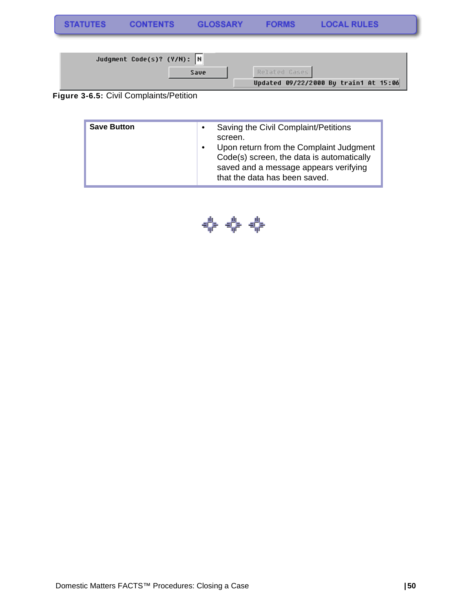| <b>LOCAL RULES</b><br><b>STATUTES</b><br><b>GLOSSARY</b><br><b>FORMS</b><br><b>CONTENTS</b> |  |
|---------------------------------------------------------------------------------------------|--|
|---------------------------------------------------------------------------------------------|--|

| Judgment Code(s)? (Y/N): N |                                       |
|----------------------------|---------------------------------------|
| Save                       | Related Gases                         |
|                            | Updated 09/22/2000 By train1 At 15:06 |

**Figure 3-6.5:** Civil Complaints/Petition

| <b>Save Button</b> | $\bullet$<br>$\bullet$ | Saving the Civil Complaint/Petitions<br>screen.<br>Upon return from the Complaint Judgment<br>Code(s) screen, the data is automatically<br>saved and a message appears verifying<br>that the data has been saved. |
|--------------------|------------------------|-------------------------------------------------------------------------------------------------------------------------------------------------------------------------------------------------------------------|
|--------------------|------------------------|-------------------------------------------------------------------------------------------------------------------------------------------------------------------------------------------------------------------|

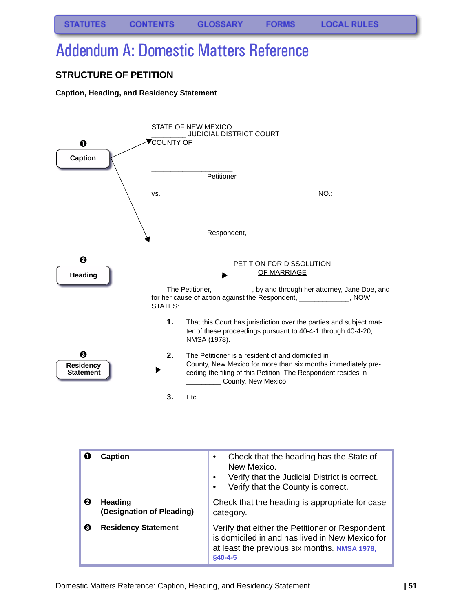<span id="page-51-3"></span>**FORMS** 

# <span id="page-51-0"></span>Addendum A: Domestic Matters Reference

### <span id="page-51-1"></span>**STRUCTURE OF PETITION**

#### <span id="page-51-2"></span>**Caption, Heading, and Residency Statement**



<span id="page-51-4"></span>

| O | <b>Caption</b>                       | Check that the heading has the State of<br>٠<br>New Mexico.<br>Verify that the Judicial District is correct.<br>Verify that the County is correct.<br>٠              |
|---|--------------------------------------|----------------------------------------------------------------------------------------------------------------------------------------------------------------------|
| 0 | Heading<br>(Designation of Pleading) | Check that the heading is appropriate for case<br>category.                                                                                                          |
| ❸ | <b>Residency Statement</b>           | Verify that either the Petitioner or Respondent<br>is domiciled in and has lived in New Mexico for<br>at least the previous six months. NMSA 1978,<br><b>§40-4-5</b> |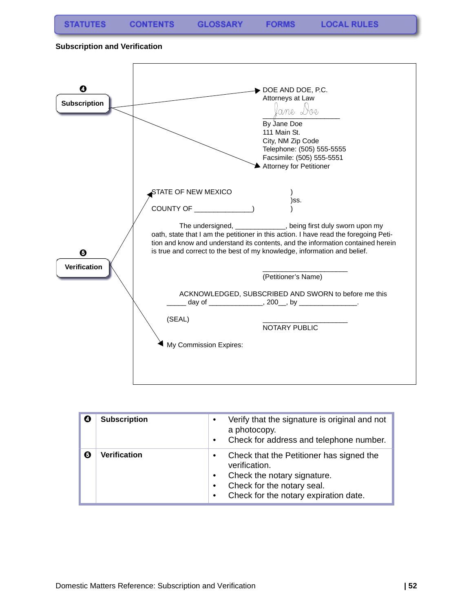<span id="page-52-1"></span>**CONTENTS** 

<span id="page-52-0"></span>**FORMS** 

**Subscription and Verification**



| G. | <b>Subscription</b> | $\bullet$<br>$\bullet$                           | Verify that the signature is original and not<br>a photocopy.<br>Check for address and telephone number.                                                        |
|----|---------------------|--------------------------------------------------|-----------------------------------------------------------------------------------------------------------------------------------------------------------------|
| G) | Verification        | $\bullet$<br>$\bullet$<br>$\bullet$<br>$\bullet$ | Check that the Petitioner has signed the<br>verification.<br>Check the notary signature.<br>Check for the notary seal.<br>Check for the notary expiration date. |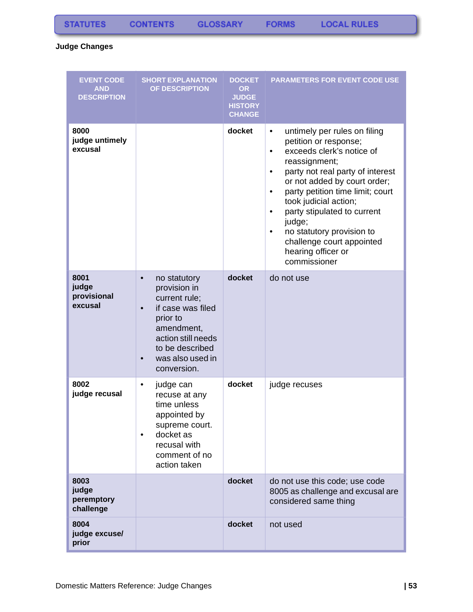### **Judge Changes**

| <b>EVENT CODE</b><br><b>AND</b><br><b>DESCRIPTION</b> | <b>SHORT EXPLANATION</b><br>OF DESCRIPTION                                                                                                                                                         | <b>DOCKET</b><br><b>OR</b><br><b>JUDGE</b><br><b>HISTORY</b><br><b>CHANGE</b> | <b>PARAMETERS FOR EVENT CODE USE</b>                                                                                                                                                                                                                                                                                                                                                                                                           |
|-------------------------------------------------------|----------------------------------------------------------------------------------------------------------------------------------------------------------------------------------------------------|-------------------------------------------------------------------------------|------------------------------------------------------------------------------------------------------------------------------------------------------------------------------------------------------------------------------------------------------------------------------------------------------------------------------------------------------------------------------------------------------------------------------------------------|
| 8000<br>judge untimely<br>excusal                     |                                                                                                                                                                                                    | docket                                                                        | untimely per rules on filing<br>$\bullet$<br>petition or response;<br>exceeds clerk's notice of<br>$\bullet$<br>reassignment;<br>party not real party of interest<br>$\bullet$<br>or not added by court order;<br>party petition time limit; court<br>$\bullet$<br>took judicial action;<br>party stipulated to current<br>judge;<br>no statutory provision to<br>$\bullet$<br>challenge court appointed<br>hearing officer or<br>commissioner |
| 8001<br>judge<br>provisional<br>excusal               | no statutory<br>$\bullet$<br>provision in<br>current rule;<br>if case was filed<br>prior to<br>amendment,<br>action still needs<br>to be described<br>was also used in<br>$\bullet$<br>conversion. | docket                                                                        | do not use                                                                                                                                                                                                                                                                                                                                                                                                                                     |
| 8002<br>judge recusal                                 | judge can<br>$\bullet$<br>recuse at any<br>time unless<br>appointed by<br>supreme court.<br>docket as<br>$\bullet$<br>recusal with<br>comment of no<br>action taken                                | docket                                                                        | judge recuses                                                                                                                                                                                                                                                                                                                                                                                                                                  |
| 8003<br>judge<br>peremptory<br>challenge              |                                                                                                                                                                                                    | docket                                                                        | do not use this code; use code<br>8005 as challenge and excusal are<br>considered same thing                                                                                                                                                                                                                                                                                                                                                   |
| 8004<br>judge excuse/<br>prior                        |                                                                                                                                                                                                    | docket                                                                        | not used                                                                                                                                                                                                                                                                                                                                                                                                                                       |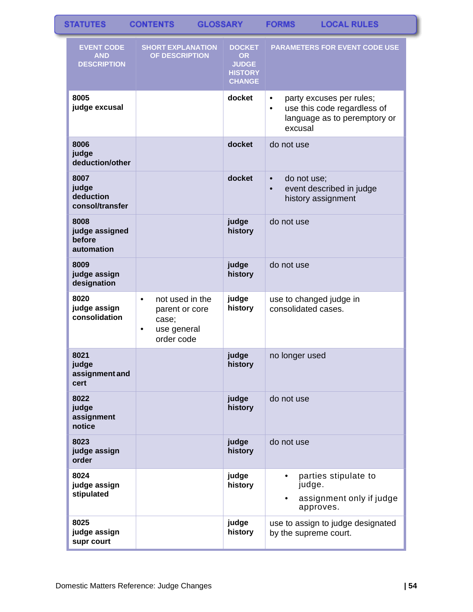| <b>STATUTES</b>                                       | <b>CONTENTS</b><br><b>GLOSSARY</b>                                                                |                                                                               | <b>FORMS</b><br><b>LOCAL RULES</b>                                                                                           |
|-------------------------------------------------------|---------------------------------------------------------------------------------------------------|-------------------------------------------------------------------------------|------------------------------------------------------------------------------------------------------------------------------|
| <b>EVENT CODE</b><br><b>AND</b><br><b>DESCRIPTION</b> | <b>SHORT EXPLANATION</b><br>OF DESCRIPTION                                                        | <b>DOCKET</b><br><b>OR</b><br><b>JUDGE</b><br><b>HISTORY</b><br><b>CHANGE</b> | <b>PARAMETERS FOR EVENT CODE USE</b>                                                                                         |
| 8005<br>judge excusal                                 |                                                                                                   | docket                                                                        | party excuses per rules;<br>$\bullet$<br>use this code regardless of<br>$\bullet$<br>language as to peremptory or<br>excusal |
| 8006<br>judge<br>deduction/other                      |                                                                                                   | docket                                                                        | do not use                                                                                                                   |
| 8007<br>judge<br>deduction<br>consol/transfer         |                                                                                                   | docket                                                                        | do not use;<br>$\bullet$<br>event described in judge<br>$\bullet$<br>history assignment                                      |
| 8008<br>judge assigned<br>before<br>automation        |                                                                                                   | judge<br>history                                                              | do not use                                                                                                                   |
| 8009<br>judge assign<br>designation                   |                                                                                                   | judge<br>history                                                              | do not use                                                                                                                   |
| 8020<br>judge assign<br>consolidation                 | not used in the<br>$\bullet$<br>parent or core<br>case;<br>use general<br>$\bullet$<br>order code | judge<br>history                                                              | use to changed judge in<br>consolidated cases.                                                                               |
| 8021<br>judge<br>assignment and<br>cert               |                                                                                                   | judge<br>history                                                              | no longer used                                                                                                               |
| 8022<br>judge<br>assignment<br>notice                 |                                                                                                   | judge<br>history                                                              | do not use                                                                                                                   |
| 8023<br>judge assign<br>order                         |                                                                                                   | judge<br>history                                                              | do not use                                                                                                                   |
| 8024<br>judge assign<br>stipulated                    |                                                                                                   | judge<br>history                                                              | parties stipulate to<br>$\bullet$<br>judge.<br>assignment only if judge<br>$\bullet$<br>approves.                            |
| 8025<br>judge assign<br>supr court                    |                                                                                                   | judge<br>history                                                              | use to assign to judge designated<br>by the supreme court.                                                                   |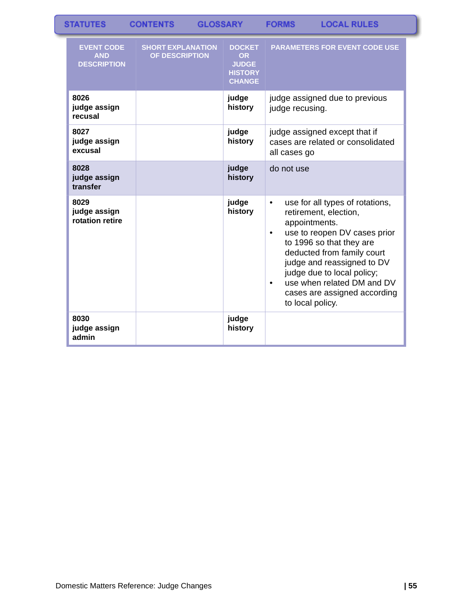| <b>STATUTES</b>                                       | <b>CONTENTS</b><br><b>GLOSSARY</b>         |                                                                               | <b>LOCAL RULES</b><br><b>FORMS</b>                                                                                                                                                                                                                                                                                                          |
|-------------------------------------------------------|--------------------------------------------|-------------------------------------------------------------------------------|---------------------------------------------------------------------------------------------------------------------------------------------------------------------------------------------------------------------------------------------------------------------------------------------------------------------------------------------|
| <b>EVENT CODE</b><br><b>AND</b><br><b>DESCRIPTION</b> | <b>SHORT EXPLANATION</b><br>OF DESCRIPTION | <b>DOCKET</b><br><b>OR</b><br><b>JUDGE</b><br><b>HISTORY</b><br><b>CHANGE</b> | <b>PARAMETERS FOR EVENT CODE USE</b>                                                                                                                                                                                                                                                                                                        |
| 8026<br>judge assign<br>recusal                       |                                            | judge<br>history                                                              | judge assigned due to previous<br>judge recusing.                                                                                                                                                                                                                                                                                           |
| 8027<br>judge assign<br>excusal                       |                                            | judge<br>history                                                              | judge assigned except that if<br>cases are related or consolidated<br>all cases go                                                                                                                                                                                                                                                          |
| 8028<br>judge assign<br>transfer                      |                                            | judge<br>history                                                              | do not use                                                                                                                                                                                                                                                                                                                                  |
| 8029<br>judge assign<br>rotation retire               |                                            | judge<br>history                                                              | use for all types of rotations,<br>$\bullet$<br>retirement, election,<br>appointments.<br>use to reopen DV cases prior<br>to 1996 so that they are<br>deducted from family court<br>judge and reassigned to DV<br>judge due to local policy;<br>use when related DM and DV<br>$\bullet$<br>cases are assigned according<br>to local policy. |
| 8030<br>judge assign<br>admin                         |                                            | judge<br>history                                                              |                                                                                                                                                                                                                                                                                                                                             |